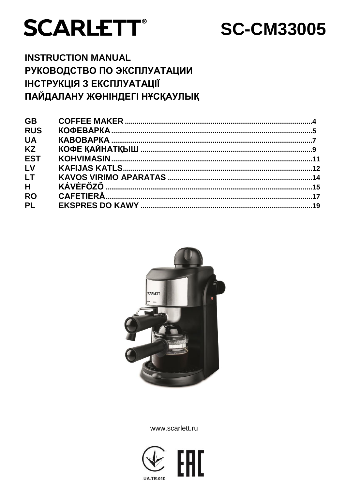# **SCARLETT®**

# **SC-CM33005**

# **INSTRUCTION MANUAL** РУКОВОДСТВО ПО ЭКСПЛУАТАЦИИ ІНСТРУКЦІЯ З ЕКСПЛУАТАЦІЇ ПАЙДАЛАНУ ЖӨНІНДЕГІ НҰСҚАУЛЫҚ

| <b>GB</b>  |  |
|------------|--|
| <b>RUS</b> |  |
| <b>UA</b>  |  |
| <b>KZ</b>  |  |
| <b>EST</b> |  |
| LV         |  |
| <b>LT</b>  |  |
| H          |  |
| <b>RO</b>  |  |
| <b>PL</b>  |  |
|            |  |



www.scarlett.ru

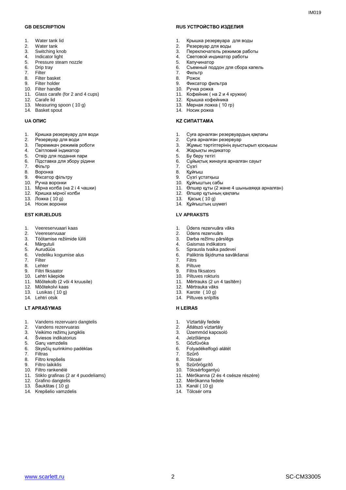- 1. Water tank lid<br>2. Water tank
- Water tank
- 3. Switching knob
- 4. Indicator light<br>5. Pressure stea
- 5. Pressure steam nozzle<br>6. Drip trav
- 6. Drip tray<br>7. Filter
- Filter
- 8. Filter basket<br>9. Filter holder 9. Filter holder
- 10. Filter handle
- 11. Glass carafe (for 2 and 4 cups)
- 12. Carafe lid
- 13. Measuring spoon ( 10 g)
- 14. Basket spout

- 1. Кришка резервуару для води
- 2. Резервуар для води<br>3. Перемикач режимів
- 3. Перемикач режимів роботи<br>4. Світловий індикатор
- 4. Світловий індикатор<br>5. Отвір для подання па
- 5. Отвір для подання пари
- 6. Підставка для збору рідини
- 7. Фільтр
- 8. Воронка
- 9. Фіксатор фільтру
- 10. Ручка воронки
- 11. Мірна колба (на 2 і 4 чашки) 12. Кришка мірної колби
- 
- 13. Ложка ( 10 g)
- 14. Носик воронки

- 1. Veereservuaari kaas
- 2. Veereservuaar<br>3. Töötamise režii
- 3. Töötamise režiimide lüliti<br>4. Märgutuli
- Märgutuli
- 5. Aurudüüs
- 6. Vedeliku kogumise alus<br>7. Filter
- 7. Filter<br>8. Lehte
- 8. Lehter<br>9. Filtri fil
- 9. Filtri fiksaator
- 10. Lehtri käepide
- 11. Mõõtekolb (2 või 4 kruusile)
- 12. Mõõtekolvi kaas
- 13. Lusikas ( 10 g)
- 14. Lehtri otsik

#### **LT APRAŠYMAS H LEÍRÁS**

- 1. Vandens rezervuaro dangtelis
- 2. Vandens rezervuaras
- 3. Veikimo režimų jungiklis
- 4. Šviesos indikatorius<br>5. Garu vamzdelis
- 5. Garų vamzdelis
- 6. Skysčių surinkimo padėklas
- 7. Filtras<br>8. Filtro k
- 8. Filtro krepšelis
- 9. Filtro laikiklis
- 10. Filtro rankenėlė
- 11. Stiklo grafinas (2 ar 4 puodeliams)
- 12. Grafino dangtelis
- 13. Šaukštas ( 10 g)
- 14. Krepšelio vamzdelis

#### **GB DESCRIPTION RUS УСТРОЙСТВО ИЗДЕЛИЯ**

- 1. Крышка резервуара для воды<br>2. Резервуар для воды
- 2. Резервуар для воды
- 3. Переключатель режимов работы
- 4. Световой индикатор работы
- 5. Капучинатор<br>6. Съемный под 6. Съемный поддон для сбора капель

 $IMA01Q$ 

- 7. Фильтр
- 8. Рожок<br>9 Фиксат
- 9. Фиксатор фильтра
- 10. Ручка рожка
- 11. Кофейник ( на 2 и 4 кружки)
- 12. Крышка кофейника
- 13. Мерная ложка ( 10 гр)
- 14. Носик рожка

#### **UA ОПИС KZ СИПАТТАМА**

- 1. Суға арналған резервуардың қақпағы
- 2. Суға арналған резервуар<br>3. Жұмыс тәртіптерінің ауыс
- 3. Жұмыс тәртіптерінің ауыстырып қосқышы
- 4. Жарықты индикатор<br>5. Бу беру тетігі
- 5. Бу беру тетігі<br>6. Сүйыктык жин
- 6. Сұйықтық жинауға арналған сауыт<br>7. Сүзгі
- 7. Сүзгі
- 8. Құйғыш
- 9. Сүзгі ұстатқыш 10. Құйғыштың сабы
- 11. Өлшер құты (2 және 4 шыныаяққа арналған)
- 12. Өлшер құтының қақпағы
- 13. Қасық ( 10 g)
- 14. Құйғыштың шүмегі

#### **EST KIRJELDUS LV APRAKSTS**

- 1. Ūdens rezervuāra vāks
- 2. Ūdens rezervuārs<br>3. Darba režīmu pārs
- 3. Darba režīmu pārslēgs<br>4. Gaismas indikators
- 4. Gaismas indikators
- 5. Sprausla tvaika padevei
- 6. Paliktnis šķidruma savākšanai
- 7. Filtrs<br>8 Piltuv
- 8. Piltuve<br>9. Filtra fi

www.scarlett.ru SC-CM33005

- 9. Filtra fiksators
- 10. Piltuves rokturis
- 11. Mērtrauks (2 un 4 tasītēm)

11. Mérőkanna (2 és 4 csésze részére)

12. Mērtrauka vāks 13. Karote ( 10 g) 14. Piltuves snīpītis

1. Víztartály fedele 2. Átlátszó víztartály 3. Üzemmód kapcsoló 4. Jelzőlámpa<br>5. Gőzfúvóka 5. Gőzfúvóka 6. Folyadékelfogó alátét

12. Mérőkanna fedele 13. Kanál ( 10 g) 14. Tölcsér orra

7. Szűrő **Tölcsér** 9. Szűrőrögzítő 10. Tölcsérfogantyú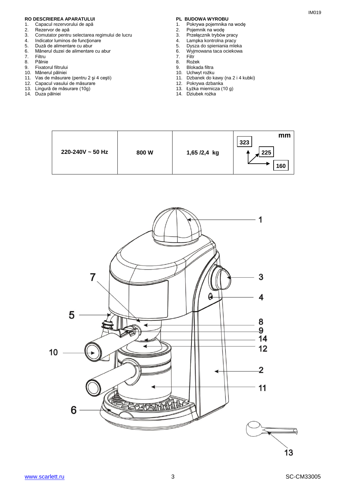# **RO DESCRIEREA APARATULUI PL BUDOWA WYROBU**<br>1. Capacul rezervorului de apă **partide apă de presentatului de apă** de 1. Pokrywa pojemnika r

- 1. Capacul rezervorului de apă<br>2. Rezervor de apă
- 2. Rezervor de apă<br>3. Comutator pentru
- 3. Comutator pentru selectarea regimului de lucru
- 4. Indicator luminos de funcționare<br>5. Duză de alimentare cu abur
- 5. Duză de alimentare cu abur
- 6. Mânerul duzei de alimentare cu abur
- 7. Filtru<br>8. Pâlnie
- 8. Pâlnie<br>9. Fixato
- 9. Fixatorul filtrului
- 10. Mânerul pâlniei
- 11. Vas de măsurare (pentru 2 şi 4 ceşti)
- 12. Capacul vasului de măsurare
- 13. Lingură de măsurare (10g)
- 14. Duza pâlniei

- 1. Pokrywa pojemnika na wodę<br>2. Pojemnik na wode
- 2. Pojemnik na wodę
- 3. Przełącznik trybów pracy
- 4. Lampka kontrolna pracy<br>5. Dysza do spieniania mlel
- 5. Dysza do spieniania mieka<br>6. Wyjmowana taca ociekowa 6. Wyjmowana taca ociekowa
- 
- 7. Filtr<br>8. Roż
	- 8. Rożek<br>9. Blokad 9. Blokada filtra
	- 10. Uchwyt rożku
	- 11. Dzbanek do kawy (na 2 i 4 kubki)
	- 12. Pokrywa dzbanka
	- 13. Łyżka miernicza (10 g)
	- 14. Dziubek rożka



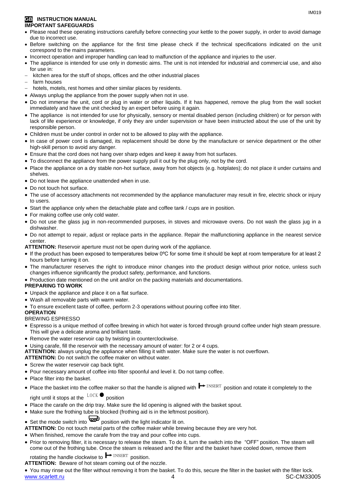#### **GB INSTRUCTION MANUAL IMPORTANT SAFEGUARDS**

- Please read these operating instructions carefully before connecting your kettle to the power supply, in order to avoid damage due to incorrect use.
- Before switching on the appliance for the first time please check if the technical specifications indicated on the unit correspond to the mains parameters.
- Incorrect operation and improper handling can lead to malfunction of the appliance and injuries to the user.
- The appliance is intended for use only in domestic aims. The unit is not intended for industrial and commercial use, and also for use in:
- kitchen area for the stuff of shops, offices and the other industrial places
- farm houses
- hotels, motels, rest homes and other similar places by residents.
- Always unplug the appliance from the power supply when not in use.
- Do not immerse the unit, cord or plug in water or other liquids. If it has happened, remove the plug from the wall socket immediately and have the unit checked by an expert before using it again.
- The appliance is not intended for use for [physically, sensory or mental disabled](https://www.multitran.ru/c/m.exe?t=5841801_1_2&s1=%F7%E5%EB%EE%E2%E5%EA%20%F1%20%EE%E3%F0%E0%ED%E8%F7%E5%ED%ED%FB%EC%E8%20%E2%EE%E7%EC%EE%E6%ED%EE%F1%F2%FF%EC%E8) person (including children) or for person with lack of life experience or knowledge, if only they are under supervision or have been instructed about the use of the unit by responsible person.
- Children must be under control in order not to be allowed to play with the appliance.
- In case of power cord is damaged, its replacement should be done by the manufacture or service department or the other high-skill person to avoid any danger.
- Ensure that the cord does not hang over sharp edges and keep it away from hot surfaces.
- To disconnect the appliance from the power supply pull it out by the plug only, not by the cord.
- Place the appliance on a dry stable non-hot surface, away from hot objects (e.g. hotplates); do not place it under curtains and shelves.
- Do not leave the appliance unattended when in use.
- Do not touch hot surface.
- The use of accessory attachments not recommended by the appliance manufacturer may result in fire, electric shock or injury to users.
- Start the appliance only when the detachable plate and coffee tank / cups are in position.
- For making coffee use only cold water.
- Do not use the glass jug in non-recommended purposes, in stoves and microwave ovens. Do not wash the glass jug in a dishwasher.
- Do not attempt to repair, adjust or replace parts in the appliance. Repair the malfunctioning appliance in the nearest service center.

**ATTENTION:** Reservoir aperture must not be open during work of the appliance.

- If the product has been exposed to temperatures below 0ºC for some time it should be kept at room temperature for at least 2 hours before turning it on.
- The manufacturer reserves the right to introduce minor changes into the product design without prior notice, unless such changes influence significantly the product safety, performance, and functions.
- Production date mentioned on the unit and/or on the packing materials and documentations.

#### **PREPARING TO WORK**

- Unpack the appliance and place it on a flat surface.
- Wash all removable parts with warm water.
- To ensure excellent taste of coffee, perform 2-3 operations without pouring coffee into filter.

#### **OPERATION**

#### BREWING ESPRESSO

- Espresso is a unique method of coffee brewing in which hot water is forced through ground coffee under high steam pressure. This will give a delicate aroma and brilliant taste.
- Remove the water reservoir cap by twisting in counterclockwise.
- Using carafe, fill the reservoir with the necessary amount of water: for 2 or 4 cups.
- **ATTENTION:** always unplug the appliance when filling it with water. Make sure the water is not overflown.
- **ATTENTION:** Do not switch the coffee maker on without water.
- Screw the water reservoir cap back tight.
- Pour necessary amount of coffee into filter spoonful and level it. Do not tamp coffee.
- Place filter into the basket.
- Place the basket into the coffee maker so that the handle is aligned with  $\blacktriangleright$  INSERT position and rotate it completely to the right until it stops at the  $\frac{LOCK}{P}$  position right until it stops at the  $\frac{100 \text{ A}}{200 \text{ A}}$  position
- Place the carafe on the drip tray. Make sure the lid opening is aligned with the basket spout.
- Make sure the frothing tube is blocked (frothing aid is in the leftmost position).
- Set the mode switch into position with the light indicator lit on.
- **ATTENTION:** Do not touch metal parts of the coffee maker while brewing because they are very hot.
- When finished, remove the carafe from the tray and pour coffee into cups.
- Prior to removing filter, it is necessary to release the steam. To do it, turn the switch into the "OFF" position. The steam will come out of the frothing tube. Once the steam is released and the filter and the basket have cooled down, remove them

rotating the handle clockwise to  $\blacksquare$   $\blacksquare$  position. INSERT position

**ATTENTION:** Beware of hot steam coming out of the nozzle.

www.scarlett.ru 4 SC-CM33005 You may rinse out the filter without removing it from the basket. To do this, secure the filter in the basket with the filter lock.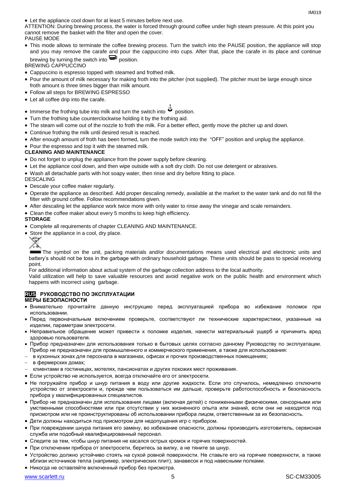Let the appliance cool down for at least 5 minutes before next use.

ATTENTION: During brewing process, the water is forced through ground coffee under high steam pressure. At this point you cannot remove the basket with the filter and open the cover. PAUSE MODE

 This mode allows to terminate the coffee brewing process. Turn the switch into the PAUSE position, the appliance will stop and you may remove the carafe and pour the cappuccino into cups. After that, place the carafe in its place and continue brewing by turning the switch into  $\mathbf{P}$  position.

BREWING CAPPUCCINO

- Cappuccino is espresso topped with steamed and frothed milk.
- Pour the amount of milk necessary for making froth into the pitcher (not supplied). The pitcher must be large enough since froth amount is three times bigger than milk amount.
- Follow all steps for BREWING ESPRESSO
- Let all coffee drip into the carafe.
- Immerse the frothing tube into milk and turn the switch into  $\ddot{\mathbf{w}}$  position.
- Turn the frothing tube counterclockwise holding it by the frothing aid.
- The steam will come out of the nozzle to froth the milk. For a better effect, gently move the pitcher up and down.
- Continue frothing the milk until desired result is reached.
- After enough amount of froth has been formed, turn the mode switch into the "OFF" position and unplug the appliance.
- Pour the espresso and top it with the steamed milk.

#### **CLEANING AND MAINTENANCE**

- Do not forget to unplug the appliance from the power supply before cleaning.
- Let the appliance cool down, and then wipe outside with a soft dry cloth. Do not use detergent or abrasives.

Wash all detachable parts with hot soapy water, then rinse and dry before fitting to place.

DESCALING

- Descale your coffee maker regularly.
- Operate the appliance as described. Add proper descaling remedy, available at the market to the water tank and do not fill the filter with ground coffee. Follow recommendations given.
- After descaling let the appliance work twice more with only water to rinse away the vinegar and scale remainders.
- Clean the coffee maker about every 5 months to keep high efficiency.

#### **STORAGE**

- Complete all requirements of chapter CLEANING AND MAINTENANCE.
- Store the appliance in a cool, dry place.
	- ₩

The symbol on the unit, packing materials and/or documentations means used electrical and electronic units and battery's should not be toss in the garbage with ordinary household garbage. These units should be pass to special receiving point.

For additional information about actual system of the garbage collection address to the local authority.

Valid utilization will help to save valuable resources and avoid negative work on the public health and environment which happens with incorrect using garbage.

#### **RUS РУКОВОДСТВО ПО ЭКСПЛУАТАЦИИ МЕРЫ БЕЗОПАСНОСТИ**

- Внимательно прочитайте данную инструкцию перед эксплуатацией прибора во избежание поломок при использовании.
- Перед первоначальным включением проверьте, соответствуют ли технические характеристики, указанные на изделии, параметрам электросети.
- Неправильное обращение может привести к поломке изделия, нанести материальный ущерб и причинить вред здоровью пользователя.
- Прибор предназначен для использования только в бытовых целях согласно данному Руководству по эксплуатации. Прибор не предназначен для промышленного и коммерческого применения, а также для использования:
- в кухонных зонах для персонала в магазинах, офисах и прочих производственных помещениях;
- в фермерских домах;
- клиентами в гостиницах, мотелях, пансионатах и других похожих мест проживания.
- Если устройство не используется, всегда отключайте его от электросети.
- Не погружайте прибор и шнур питания в воду или другие жидкости. Если это случилось, немедленно отключите устройство от электросети и, прежде чем пользоваться им дальше, проверьте работоспособность и безопасность прибора у квалифицированных специалистов.
- Прибор не предназначен для использования лицами (включая детей) с пониженными физическими, сенсорными или умственными способностями или при отсутствии у них жизненного опыта или знаний, если они не находятся под присмотром или не проинструктированы об использовании прибора лицом, ответственным за их безопасность.
- Дети должны находиться под присмотром для недопущения игр с прибором.
- При повреждении шнура питания его замену, во избежание опасности, должны производить изготовитель, сервисная служба или подобный квалифицированный персонал.
- Следите за тем, чтобы шнур питания не касался острых кромок и горячих поверхностей.
- При отключении прибора от электросети, беритесь за вилку, а не тяните за шнур.
- Устройство должно устойчиво стоять на сухой ровной поверхности. Не ставьте его на горячие поверхности, а также вблизи источников тепла (например, электрических плит), занавесок и под навесными полками.
- Никогда не оставляйте включенный прибор без присмотра.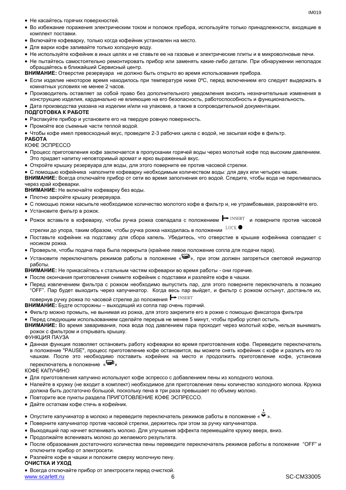- Не касайтесь горячих поверхностей.
- Во избежание поражения электрическим током и поломок прибора, используйте только принадлежности, входящие в комплект поставки.
- Включайте кофеварку, только когда кофейник установлен на место.
- Для варки кофе заливайте только холодную воду.
- Не используйте кофейник в иных целях и не ставьте ее на газовые и электрические плиты и в микроволновые печи.
- Не пытайтесь самостоятельно ремонтировать прибор или заменять какие-либо детали. При обнаружении неполадок обращайтесь в ближайший Сервисный центр.

**ВНИМАНИЕ:** Отверстие резервуара не должно быть открыто во время использования прибора.

- Если изделие некоторое время находилось при температуре ниже 0ºC, перед включением его следует выдержать в комнатных условиях не менее 2 часов.
- Производитель оставляет за собой право без дополнительного уведомления вносить незначительные изменения в конструкцию изделия, кардинально не влияющие на его безопасность, работоспособность и функциональность.
- Дата производства указана на изделии и/или на упаковке, а также в сопроводительной документации.

#### **ПОДГОТОВКА К РАБОТЕ**

- Распакуйте прибор и установите его на твердую ровную поверхность.
- Промойте все съемные части теплой водой.
- Чтобы кофе имел превосходный вкус, проведите 2-3 рабочих цикла с водой, не засыпая кофе в фильтр.

#### **РАБОТА**

КОФЕ ЭСПРЕССО

- Процесс приготовления кофе заключается в пропускании горячей воды через молотый кофе под высоким давлением. Это придает напитку неповторимый аромат и ярко выраженный вкус.
- Откройте крышку резервуара для воды, для этого поверните ее против часовой стрелки.

 С помощью кофейника наполните кофеварку необходимым количеством воды: для двух или четырех чашек. **ВНИМАНИЕ:** Всегда отключайте прибор от сети во время заполнения его водой. Следите, чтобы вода не переливалась через край кофеварки.

**ВНИМАНИЕ:** Не включайте кофеварку без воды.

- Плотно закройте крышку резервуара.
- С помощью ложки насыпьте необходимое количество молотого кофе в фильтр и, не утрамбовывая, разровняйте его.
- Установите фильтр в рожок.
- Рожок вставьте в кофеварку, чтобы ручка рожка совпадала с положением <sup>→ INSERT</sup> и поверните против часовой<br>стрелки до упора, таким образом, чтобы ручка рожка находилась в положении <sup>LOCK</sup> ●

стрелки до упора, таким образом, чтобы ручка рожка находилась в положении  $\frac{LOCK}{L}$ 

- Поставьте кофейник на подставку для сбора капель. Убедитесь, что отверстие в крышке кофейника совпадает с носиком рожка.
- Проверьте, чтобы подача пара была перекрыта (крайнее левое положение сопла для подачи пара).
- Установите переключатель режимов работы в положение « », при этом должен загореться световой индикатор работы.

**ВНИМАНИЕ:** Не прикасайтесь к стальным частям кофеварки во время работы - они горячие.

- После окончания приготовления снимите кофейник с подставки и разлейте кофе в чашки.
- Перед извлечением фильтра с рожком необходимо выпустить пар, для этого поверните переключатель в позицию "OFF". Пар будет выходить через капучинатор. Когда весь пар выйдет, и фильтр с рожком остынут, достаньте их, INSERT

повернув ручку рожка по часовой стрелке до положения  $\blacktriangleright$  INSERT

- **ВНИМАНИЕ:** Будте осторожны выходящий из сопла пар очень горячий.
- Фильтр можно промыть, не вынимая из рожка, для этого закрепите его в рожке с помощью фиксатора фильтра
- Перед следующим использованием сделайте перерыв не менее 5 минут, чтобы прибор успел остыть.
- **ВНИМАНИЕ:** Во время заваривания, пока вода под давлением пара проходит через молотый кофе, нельзя вынимать рожок с фильтром и открывать крышку.

ФУНКЦИЯ ПАУЗА

 Данная функция позволяет остановить работу кофеварки во время приготовления кофе. Переведите переключатель в положение "PAUSE", процесс приготовление кофе остановится, вы можете снять кофейник с кофе и разлить его по чашкам. После это необходимо поставить кофейник на место и продолжить приготовление кофе, установив переключатель в положение « »

#### КОФЕ КАПУЧИНО

- Для приготовления капучино используют кофе эспрессо с добавлением пены из холодного молока.
- Налейте в кружку (не входит в комплект) необходимое для приготовления пены количество холодного молока. Кружка должна быть достаточно большой, поскольку пена в три раза превышает по объему молоко.
- Повторите все пункты раздела ПРИГОТОВЛЕНИЕ КОФЕ ЭСПРЕССО.
- Дайте остаткам кофе стечь в кофейник.
- Опустите капучинатор в молоко и переведите переключатель режимов работы в положение «  $\ddot{w}$  ».
- Поверните капучинатор против часовой стрелки, держитесь при этом за ручку капучинатора.
- Выходящий пар начнет вспенивать молоко. Для улучшения эффекта перемещайте кружку вверх, вниз.
- Продолжайте вспенивать молоко до желаемого результата.
- После образования достаточного количества пены переведите переключатель режимов работы в положение "OFF" и отключите прибор от электросети.
- Разлейте кофе в чашки и положите сверху молочную пену.

#### **ОЧИСТКА И УХОД**

www.scarlett.ru 6 SC-CM33005 Всегда отключайте прибор от электросети перед очисткой.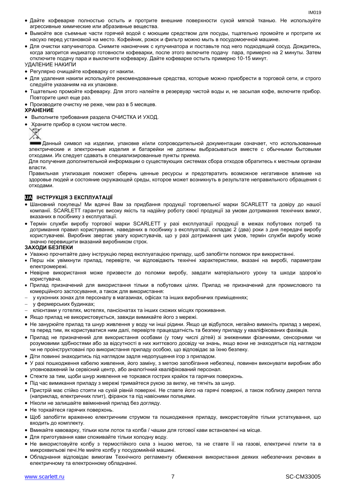- Дайте кофеварке полностью остыть и протрите внешние поверхности сухой мягкой тканью. Не используйте агрессивные химические или абразивные вещества.
- Вымойте все съемные части горячей водой с моющим средством для посуды, тщательно промойте и протрите их насухо перед установкой на место. Кофейник, рожок и фильтр можно мыть в посудомоечной машине.
- Для очистки капучинатора. Снимите наконечник с купучинатора и поставьте под него подходящий сосуд. Дождитесь, когда загорится индикатор готовности кофеварки, после этого включите подачу пара, примерно на 2 минуты. Затем отключите подачу пара и выключите кофеварку. Дайте кофеварке остыть примерно 10-15 минут.

УДАЛЕНИЕ НАКИПИ

- Регулярно очищайте кофеварку от накипи.
- Для удаления накипи используйте рекомендованные средства, которые можно приобрести в торговой сети, и строго следуйте указаниям на их упаковке.
- Тщательно промойте кофеварку. Для этого налейте в резервуар чистой воды и, не засыпая кофе, включите прибор. Повторите цикл еще раз.
- Производите очистку не реже, чем раз в 5 месяцев.

#### **ХРАНЕНИЕ**

- Выполните требования раздела ОЧИСТКА И УХОД.
- Храните прибор в сухом чистом месте.



Данный символ на изделии, упаковке и/или сопроводительной документации означает, что использованные электрические и электронные изделия и батарейки не должны выбрасываться вместе с обычными бытовыми отходами. Их следует сдавать в специализированные пункты приема.

Для получения дополнительной информации о существующих системах сбора отходов обратитесь к местным органам власти.

Правильная утилизация поможет сберечь ценные ресурсы и предотвратить возможное негативное влияние на здоровье людей и состояние окружающей среды, которое может возникнуть в результате неправильного обращения с отходами.

#### **UA ІНСТРУКЦІЯ З ЕКСПЛУАТАЦІЇ**

- Шановний покупець! Ми вдячні Вам за придбання продукції торговельної марки SCARLETT та довіру до нашої компанії. SCARLETT гарантує високу якість та надійну роботу своєї продукції за умови дотримання технічних вимог, вказаних в посібнику з експлуатації.
- Термін служби виробу торгової марки SCARLETT у разі експлуатації продукції в межах побутових потреб та дотримання правил користування, наведених в посібнику з експлуатації, складає 2 (два) роки з дня передачі виробу користувачеві. Виробник звертає увагу користувачів, що у разі дотримання цих умов, термін служби виробу може значно перевищити вказаний виробником строк.

#### **ЗАХОДИ БЕЗПЕКИ**

- Уважно прочитайте дану інструкцію перед експлуатацією приладу, щоб запобігти поломок при використанні.
- Перш ніж увімкнути прилад, перевірте, чи відповідають технічні характеристики, вказані на виробі, параметрам електромережі.
- Невiрне використання може призвести до поломки виробу, завдати матеріального урону та шкоди здоров'ю користувача.
- Прилад призначений для використання тільки в побутових цілях. Прилад не призначений для промислового та комерційного застосування, а також для використання:
- у кухонних зонах для персоналу в магазинах, офісах та інших виробничих приміщеннях;
- у фермерських будинках;
- клієнтами у готелях, мотелях, пансіонатах та інших схожих місцях проживання.
- Якщо прилад не використовується, завжди вимикайте його з мережі.
- Не занурюйте прилад та шнур живлення у воду чи інші рідини. Якщо це відбулося, негайно вимкніть прилад з мережі, та перед тим, як користуватися ним далі, перевірте працездатність та безпеку приладу у кваліфікованих фахівців.
- Прилад не призначений для використання особами (у тому числі дітей) зі зниженими фізичними, сенсорними чи розумовими здібностями або за відсутності в них життєвого досвіду чи знань, якщо вони не знаходяться під наглядом чи не проінструктовані про використання приладу особою, що відповідає за їхню безпеку.
- Діти повинні знаходитись під наглядом задля недопущення ігор з приладом.
- У разі пошкодження кабелю живлення, його заміну, з метою запобігання небезпеці, повинен виконувати виробник або уповноважений їм сервісний центр, або аналогічний кваліфікований персонал.
- Стежте за тим, щоби шнур живлення не торкався гострих крайок та гарячих поверхонь.
- Під час вимикання приладу з мережі тримайтеся рукою за вилку, не тягніть за шнур.
- Пристрій має стійко стояти на сухій рівній поверхні. Не ставте його на гарячі поверхні, а також поблизу джерел тепла (наприклад, електричних плит), фіранок та під навісними полицями.
- Ніколи не залишайте ввімкнений прилад без догляду.
- Не торкайтеся гарячих поверхонь.
- Щоб запобігти враженню електричним струмом та пошкодження приладу, використовуйте тільки устаткування, що входить до комплекту.
- Вмикайте кавоварку, тільки коли лоток та колба / чашки для готової кави встановлені на місце.
- Для приготування кави споживайте тільки холодну воду.
- Не використовуйте колбу з термостійкого скла з іншою метою, та не ставте її на газові, електричні плити та в микрохвильові печі.Не мийте колбу у посудомийній машині.
- Обладнання відповідає вимогам Технічного регламенту обмеження використання деяких небезпечних речовин в електричному та електронному обладнанні.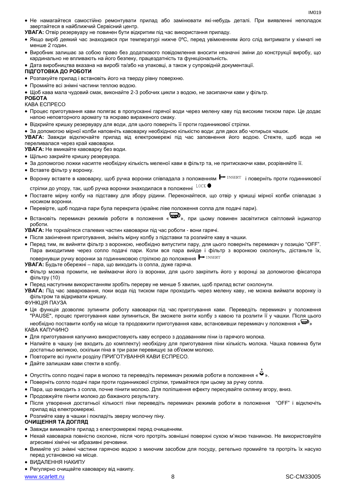Не намагайтеся самостійно ремонтувати прилад або замінювати які-небудь деталі. При виявленні неполадок звертайтеся в найближчий Сервісний центр.

**УВАГА:** Отвір резервуару не повинен бути відкритим під час використання приладу.

- Якщо виріб деякий час знаходився при температурі нижче 0ºC, перед увімкненням його слід витримати у кімнаті не менше 2 годин.
- Виробник залишає за собою право без додаткового повідомлення вносити незначні зміни до конструкції виробу, що кардинально не впливають на його безпеку, працездатність та функціональність.
- Дата виробництва вказана на виробі та/або на упаковці, а також у супровідній документації.

#### **ПІДГОТОВКА ДО РОБОТИ**

Розпакуйте прилад і встановіть його на тверду рівну поверхню.

Промийте всі знімні частини теплою водою.

Щоб кава мала чудовий смак, виконайте 2-3 робочих цикли з водою, не засипаючи кави у фільтр.

#### **РОБОТА**

#### КАВА ЕСПРЕСО

- Процес приготування кави полягає в пропусканні гарячої води через мелену каву під високим тиском пари. Це додає напою неповторного аромату та яскраво вираженого смаку.
- Відкрийте кришку резервуару для води, для цього поверніть її проти годинникової стрілки.
- За допомогою мірної колби наповніть кавоварку необхідною кількістю води: для двох або чотирьох чашок.

**УВАГА:** Завжди відключайте прилад від електромережі під час заповнення його водою. Стежте, щоб вода не переливалася через край кавоварки.

**УВАГА:** Не вмикайте кавоварку без води.

- Щільно закрийте кришку резервуара.
- За допомогою ложки насипте необхідну кількість меленої кави в фільтр та, не притискаючи кави, розрівняйте її.
- Вставте фільтр у воронку.
- Воронку вставте в кавоварку, щоб ручка воронки співпадала з положенням  $\blacktriangleright$ <sup>INSERT</sup> і поверніть проти годинникової стрілки до упору, так, щоб ручка воронки знаходилася в положенні LOCK
- Поставте мірну колбу на підставку для збору рідини. Переконайтеся, що отвір у кришці мірної колби співпадає з носиком воронки.
- Перевірте, щоб подача пари була перекрита (крайнє ліве положення сопла для подачі пари).
- Встановіть перемикач режимів роботи в положення « », при цьому повинен засвітитися світловий індикатор роботи.

**УВАГА:** Не торкайтеся сталевих частин кавоварки під час роботи - вони гарячі.

- Після закінчення приготування, зніміть мірну колбу з підставки та розлийте каву в чашки.
- Перед тим, як вийняти фільтр з воронкою, необхідно випустити пару, для цього поверніть перемикач у позицію "OFF". Пара виходитиме через сопло подачі пари. Коли вся пара вийде і фільтр з воронкою охолонуть, дістаньте їх, повернувши ручку воронки за годинниковою стрілкою до положення INSERT

**УВАГА:** Будьте обережні – пара, що виходить із сопла, дуже гаряча.

- Фільтр можна промити, не виймаючи його із воронки, для цього закріпить його у воронці за допомогою фіксатора фільтру (10)
- Перед наступним використанням зробіть перерву не менше 5 хвилин, щоб прилад встиг охолонути.

**УВАГА:** Під час заварювання, поки вода під тиском пари проходить через мелену каву, не можна виймати воронку із фільтром та відкривати кришку.

ФУНКЦІЯ ПАУЗА

 Ця функція дозволяє зупинити роботу кавоварки під час приготування кави. Переведіть перемикач у положення "PAUSE", процес приготування кави зупиниться, Ви зможете зняти колбу з кавою та розлити її у чашки. Після цього

необхідно поставити колбу на місце та продовжити приготування кави, встановивши перемикач у положення « » КАВА КАПУЧИНО

- Для приготування капучино використовують каву еспресо з додаванням піни із гарячого молока.
- Налийте в чашку (не входить до комплекту) необхідну для приготування піни кількість молока. Чашка повинна бути достатньо великою, оскільки піна в три рази перевищує за об'ємом молоко.
- Повторите всі пункти розділу ПРИГОТУВАННЯ КАВИ ЕСПРЕСО.
- Дайте залишкам кави стекти в колбу.
- Опустіть сопло подачі пари в молоко та переведіть перемикач режимів роботи в положення «  $\ddot{w}$  ».
- Поверніть сопло подачі пари проти годинникової стрілки, тримайтеся при цьому за ручку сопла.
- Пара, що виходить з сопла, почне пінити молоко. Для поліпшення ефекту пересувайте склянку вгору, вниз.
- Продовжуйте пінити молоко до бажаного результату.
- Після утворення достатньої кількості піни переведіть перемикач режимів роботи в положення "OFF" і відключіть прилад від електромережі.
- Розлийте каву в чашки і покладіть зверху молочну піну.

#### **ОЧИЩЕННЯ ТА ДОГЛЯД**

- Завжди вимикайте прилад з електромережі перед очищенням.
- Нехай кавоварка повністю охолоне, після чого протріть зовнішні поверхні сухою м'якою тканиною. Не використовуйте агресивні хімічні чи абразивні речовини.
- Вимийте усі знімні частини гарячою водою з миючим засобом для посуду, ретельно промийте та протріть їх насухо перед установкою на місце.
- ВИДАЛЕННЯ НАКИПУ
- Регулярно очищайте кавоварку від накипу.

www.scarlett.ru 8 SC-CM33005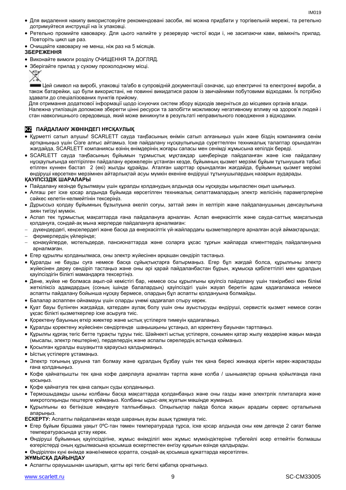- Для видалення накипу використовуйте рекомендовані засоби, які можна придбати у торгівельній мережі, та ретельно дотримуйтеся инструкції на їх упаковці.
- Ретельно промийте кавоварку. Для цього налийте у резервуар чистої води і, не засипаючи кави, ввімкніть прилад. Повторіть цикл ще раз.
- Очищайте кавоварку не менш, ніж раз на 5 місяців.

#### **ЗБЕРЕЖЕННЯ**

- Виконайте вимоги розділу ОЧИЩЕННЯ ТА ДОГЛЯД.
- Зберігайте прилад у сухому прохолодному місці.



Цей символ на виробі, упаковці та/або в супровідній документації означає, що електричні та електронні вироби, а також батарейки, що були використані, не повинні викидатися разом із звичайними побутовими відходами. Їх потрібно здавати до спеціалізованих пунктів прийому.

Для отримання додаткової інформації щодо існуючих систем збору відходів зверніться до місцевих органів влади. Належна утилізація допоможе зберегти цінні ресурси та запобігти можливому негативному впливу на здоров'я людей і стан навколишнього середовища, який може виникнути в результаті неправильного поводження з відходами.

### **KZ ПАЙДАЛАНУ ЖӨНІНДЕГІ НҰСҚАУЛЫҚ**

- Құрметті сатып алушы! SCARLETT сауда таңбасының өнімін сатып алғаныңыз үшін және біздің компанияға сенім артқаныңыз үшін Сізге алғыс айтамыз. Іске пайдалану нұсқаулығында суреттелген техникалық талаптар орындалған жағдайда, SCARLETT компаниясы өзінің өнімдерінің жоғары сапасы мен сенімді жұмысына кепілдік береді.
- SCARLETT сауда таңбасының бұйымын тұрмыстық мұқтаждар шеңберінде пайдаланған және іске пайдалану нұсқаулығында келтірілген пайдалану ережелерін ұстанған кезде, бұйымның қызмет мерзімі бұйым тұтынушыға табыс етілген күннен бастап 2 (екі) жылды құрайды. Аталған шарттар орындалған жағдайда, бұйымның қызмет мерзімі өндіруші көрсеткен мерзімнен айтарлықтай асуы мүмкін екеніне өндіруші тұтынушылардың назарын аударады.

#### **ҚАУІПСІЗДІК ШАРАЛАРЫ**

- Пайдалану кезінде бұзылмауы үшін құралды қолданудың алдында осы нұсқауды ықыласпен оқып шығыңыз.
- Алғаш рет іске қосар алдында бұйымда көрсетілген техникалық сипаттамалардың электр желісінің параметрлеріне сәйкес келетін-келмейтінін тексеріңіз.
- Дұрыссыз қолдау бұйымның бұзылуына әкеліп соғуы, заттай зиян іп келтіріп және пайдаланушының денсаулығына зиян тигізуі мүмкін.
- Аспап тек тұрмыстық мақсаттарда ғана пайдалануға арналған. Аспап өнеркәсіптік және сауда-саттық мақсатында қолдануға, сондай-ақ мына жерлерде пайдалануға арналмаған:
- дүкендердегі, кеңселердегі және басқа да өнеркәсіптік үй-жайлардағы қызметкерлерге арналған асүй аймақтарында;
- фермерлердің үйлерінде;
- қонақүйлерде, мотельдерде, пансионаттарда және соларға ұқсас тұрғын жайларда клиенттердің пайдалануына арналмаған.
- Егер құрылғы қолданылмаса, оны электр жүйесінен әрқашан сөндіріп тастаңыз.
- Құралды не бауды суға немесе басқа сұйықтықтарға батырмаңыз. Егер бұл жағдай болса, құрылғыны электр жүйесінен дереу сөндіріп тастаңыз және оны әрі қарай пайдаланбастан бұрын, жұмысқа қабілеттілігі мен құралдың қауіпсіздігін білікті мамандарға тексертіңіз.
- Дене, жүйке не болмаса ақыл-ой кемістігі бар, немесе осы құрылғыны қауіпсіз пайдалану үшін тәжірибесі мен білімі жеткіліксіз адамдардың (соның ішінде балалардың) қауіпсіздігі үшін жауап беретін адам қадағаламаса немесе аспапты пайдалану бойынша нұсқау бермесе, олардың бұл аспапты қолдануына болмайды.
- Балалар аспаппен ойнамауы үшін оларды үнемі қадағалап отыру керек.
- Қуат бауы бүлінген жағдайда, қатерден аулақ болу үшін оны ауыстыруды өндіруші, сервистік қызмет немесе соған ұқсас білікті қызметкерлер іске асыруға тиіс.
- Қоректену бауының өткір жиектер және ыстық үстілерге тимеуін қадағалаңыз.
- Құралды қоректену жүйесінен сөндіргенде шаңышқыны ұстаңыз, ал қоректену бауынан тартпаңыз.
- Құрылғы құрғақ тегіс бетте тұрақты тұруы тиіс. Шәйнекті ыстық үстілерге, сонымен қатар жылу көздеріне жақын маңда (мысалы, электр пештеріне), перделердің және аспалы сөрелердің астында қоймаңыз.
- Қосылған құралды ешуақытта қараусыз қалдырмаңыз.
- Ыстық үстілерге ұстамаңыз.
- Электр тоғының ұруына тап болмау және құралдың бұзбау үшін тек қана бересі жинаққа кіретін керек-жарақтарды ғана қолданыңыз.
- Кофе қайнатқышты тек қана кофе даярлауға арналған тартпа және колба / шыныаяқтар орнына қойылғанда ғана қосыңыз.
- Қофе қайнатуға тек қана салқын суды қолданыңыз.
- Термошыдамды шыны колбаны басқа мақсаттарда қолданбаңыз және оны газды және электрлік плиталарға және микротолқынды пештерге қоймаңыз. Колбаны ыдыс-аяқ жуатын мәшіңде жумаңыз.
- Құрылғыны өз бетіңізше жөндеуге талпынбаңыз. Олқылықтар пайда болса жақын арадағы сервис орталығына апарыңыз.

**ЕСКЕРТУ:** Аспапты пайдаланған кезде шараның аузы ашық тұрмауға тиіс.

- Егер бұйым біршама уақыт 0ºC-тан төмен температурада тұрса, іске қосар алдында оны кем дегенде 2 сағат бөлме температурасында ұстау керек.
- Өндіруші бұйымның қауіпсіздігіне, жұмыс өнімділігі мен жұмыс мүмкіндіктеріне түбегейлі әсер етпейтін болмашы өзгерістерді оның құрылмасына қосымша ескертпестен енгізу құқығын өзінде қалдырады.
- Өндірілген күні өнімде және/немесе қорапта, сондай-ақ қосымша құжаттарда көрсетілген.

#### **ЖҰМЫСҚА ДАЙЫНДАУ**

Аспапты орауышынан шығарып, қатты әрі тегіс беткі қабатқа орнатыңыз.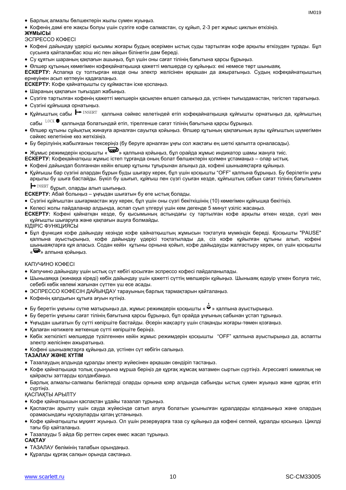- Барлық алмалы бөлшектерін жылы сумен жуыңыз.
- Кофенің дәмі өте жақсы болуы үшін сүзгіге кофе салмастан, су құйып, 2-3 рет жұмыс циклын өткізіңіз.

#### **ЖҰМЫСЫ**

ЭСПРЕССО КОФЕСІ

- Кофені дайындау үдерісі қысымы жоғары будың әсерімен ыстық суды тартылған кофе арқылы өткізуден тұрады. Бұл сусынға қайталанбас хош иіс пен айқын білінетін дәм береді.
- Су құятын шараның қақпағын ашыңыз, бұл үшін оны сағат тілінің бағытына қарсы бұрыңыз.
- Өлшер құтының көмегімен кофеқайнатқышқа қажетті мөлшерде су құйыңыз: екі немесе төрт шыныаяқ.

**ЕСКЕРТУ:** Аспапқа су толтырған кезде оны электр желісінен әрқашан да ажыратыңыз. Судың кофеқайнатқыштың ернеуінен асып кетпеуін қадағалаңыз.

**ЕСКЕРТУ:** Кофе қайнатқышты су құймастан іске қоспаңыз.

- Шараның қақпағын тығыздап жабыңыз.
- Сүзгіге тартылған кофенің қажетті мөлшерін қасықпен өлшеп салыңыз да, үстінен тығыздамастан, тегістеп таратыңыз.
- Сүзгіні құйғышқа орнатыңыз.
- Құйғыштың сабы <u>┣ INSERT қалпына сәйкес келетіндей етіп кофеқайнатқышқа құйғышты орнатыңыз да, құйғыштың</u> сабы $^{-{\rm LOCK}}$  ● қалпында болатындай етіп, тірелгенше сағат тілінің бағытына қарсы бұрыңыз.
- Өлшер құтыны сұйықтық жинауға арналған сауытқа қойыңыз. Өлшер құтының қақпағының аузы құйғыштың шүмегімен сәйкес келетініне көз жеткізіңіз.
- Бу берілуінің жабылғанын тексеріңіз (бу беруге арналған ұңғы сол жақтағы ең шеткі қалыпта орналасады).

# • Жұмыс режимдерін қосқышты «  $\bigoplus_{\lambda}$  қалпына қойыңыз, бұл орайда жұмыс индикатор шамы жануға тиіс.

- **ЕСКЕРТУ:** Кофеқайнатқыш жұмыс істеп тұрғанда оның болат бөлшектерін қолмен ұстамаңыз олар ыстық.
- Кофені дайындап болғаннан кейін өлшер құтыны тұғырынан алыңыз да, кофені шыныаяқтарға құйыңыз.
- Құйғышы бар сүзгіні алардан бұрын буды шығару керек, бұл үшін қосқышты "OFF" қалпына бұрыңыз. Бу берілетін ұңғы арқылы бу шыға бастайды. Бүкіл бу шығып, құйғыш пен сүзгі суыған кезде, құйғыштың сабын сағат тілінің бағытымен  $\text{INSERT}$  бұрып, оларды алып шығыңыз.  $\blacksquare$ 
	-

**ЕСКЕРТУ:** Абай болыңыз – ұңғыдан шығатын бу өте ыстық болады.

- Сүзгіні құйғыштан шығармастан жуу керек, бұл үшін оны сүзгі бекіткішінің (10) көмегімен құйғышқа бекітіңіз.
- Келесі жолы пайдаланар алдында, аспап суып үлгеруі үшін кем дегенде 5 минут үзіліс жасаңыз.
- **ЕСКЕРТУ:** Кофені қайнатқан кезде, бу қысымының астындағы су тартылған кофе арқылы өткен кезде, сүзгі мен құйғышты шығаруға және қақпағын ашуға болмайды.
- КІДІРІС ФУНКЦИЯСЫ
- Бұл функция кофе дайындау кезінде кофе қайнатқыштың жұмысын тоқтатуға мүмкіндік береді. Қосқышты "PAUSE" қалпына ауыстырыңыз, кофе дайындау үдерісі тоқтатылады да, сіз кофе құйылған құтыны алып, кофені шыныаяқтарға құя аласыз. Содан кейін құтыны орнына қойып, кофе дайыдауды жалғастыру керек, ол үшін қосқышты «<sup>•••••</sup>» алпына койыныз.

#### КАПУЧИНО КОФЕСІ

- Капучино дайындау үшін ыстық сүт көбігі қосылған эспрессо кофесі пайдаланылады.
- Шыныаяққа (жинаққа кіреді) көбік дайындау үшін қажетті сүттің мөлшерін құйыңыз. Шыныаяқ едәуір үлкен болуға тиіс, себебі көбік көлемі жағынан сүттен үш есе асады.
- ЭСПРЕССО КОФЕСІН ДАЙЫНДАУ тарауының барлық тармақтарын қайталаңыз.
- Кофенің қалдығын құтыға ағуын күтіңіз.
- Бу беретін ұңғыны сүтке матырыңыз да, жұмыс режимдерін қосқышты « » қалпына ауыстырыңыз.
- Бу беретін ұңғыны сағат тілінің бағытына қарсы бұрыңыз, бұл орайда ұңғының сабынан ұстап тұрыңыз.
- Ұңғыдан шығатын бу сүтті көпіршіте бастайды. Әсерін жақсарту үшін стақанды жоғары-төмен қозғаңыз.
- Қалаған нәтижеге жеткенше сүтті көпіршіте берініз.
- Көбік жеткілікті мөлшерде түзілгеннен кейін жұмыс режимдерін қосқышты "OFF" қалпына ауыстырыңыз да, аспапты электр желісінен ажыратыңыз.
- Кофені шыныаяқтарға құйыңыз да, үстінен сүт көбігін салыңыз.

#### **ТАЗАЛАУ ЖӘНЕ КҮТІМ**

- Тазалаудың алдында құралды электр жүйесінен әрқашан сөндіріп тастаңыз.
- Кофе қайнатқышқа толық суынуына мұрша беріңіз де құрғақ жұмсақ матамен сыртын сүртіңіз. Агрессивті химиялық не қайрақты заттарды қолданбаңыз.
- Барлық алмалы-салмалы бөліктерді оларды орнына қояр алдында сабынды ыстық сумен жуыңыз және құрғақ етіп сүртіңіз.

#### ҚАСПАҚТЫ АРЫЛТУ

- Кофе қайнатқышын қаспақтан ұдайы тазалап тұрыңыз.
- Қаспақтан арылту үшін сауда жүйесінде сатып алуға болатын ұсынылған құралдарды қолданыңыз және олардың орамасындағы нұсқауларды қатаң ұстаныңыз.
- Кофе қайнатқышты мұқият жуыңыз. Ол үшін резервуарға таза су құйыңыз да кофені сеппей, құралды қосыңыз. Циклді тағы бір қайталаңыз.
- Тазалауды 5 айда бір реттен сирек емес жасап тұрыңыз.

### **САҚТАУ**

- ТАЗАЛАУ бөлімінің талабын орындаңыз.
- Құралды құрғақ салқын орында сақтаңыз.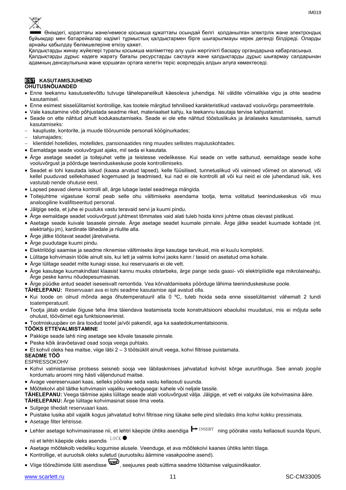

Өнімдегі, қораптағы және/немесе қосымша құжаттағы осындай белгі қолданылған электрлік және электрондық бұйымдар мен батарейкалар кәдімгі тұрмыстық қалдықтармен бірге шығарылмауы керек дегенді білдіреді. Оларды арнайы қабылдау бөлімшелеріне өткізу қажет.

Қалдықтарды жинау жүйелері туралы қосымша мәліметтер алу үшін жергілікті басқару органдарына хабарласыңыз. Қалдықтарды дұрыс кәдеге жарату бағалы ресурстарды сақтауға және қалдықтарды дұрыс шығармау салдарынан

адамның денсаулығына және қоршаған ортаға келетін теріс әсерлердің алдын алуға көмектеседі.

#### **EST KASUTAMISJUHEND OHUTUSNÕUANDED**

- Enne teekannu kasutuselevõttu tutvuge tähelepanelikult käesoleva juhendiga. Nii väldite võimalikke vigu ja ohte seadme kasutamisel.
- Enne esimest sisselülitamist kontrollige, kas tootele märgitud tehnilised karakteristikud vastavad vooluvõrgu parameetritele.
- Vale kasutamine võib põhjustada seadme riket, materiaalset kahju, ka teekannu kasutaja tervise kahjustamist.
- Seade on ette nähtud ainult kodukasutamiseks. Seade ei ole ette nähtud tööstuslikuks ja ärialaseks kasutamiseks, samuti kasutamiseks:
- kaupluste, kontorite, ja muude tööruumide personali kööginurkades;
- talumajades;
- klientidel hotellides, motellides, pansionaatides ning muudes sellistes majutuskohtades.
- Eemaldage seade vooluvõrgust ajaks, mil seda ei kasutata.
- Ärge asetage seadet ja toitejuhet vette ja teistesse vedelikesse. Kui seade on vette sattunud, eemaldage seade kohe vooluvõrgust ja pöörduge teeninduskeskuse poole kontrollimiseks.
- Seadet ei tohi kasutada isikud (kaasa arvatud lapsed), kelle füüsilised, tunnetuslikud või vaimsed võimed on alanenud, või kellel puuduvad sellekohased kogemused ja teadmised, kui nad ei ole kontrolli all või kui neid ei ole juhendanud isik, kes vastutab nende ohutuse eest.
- Lapsed peavad olema kontrolli all, ärge lubage lastel seadmega mängida.
- Toitejuhtme vigastuse korral peab selle ohu vältimiseks asendama tootja, tema volitatud teeninduskeskus või muu analoogiline kvalifitseeritud personal.
- Jälgige seda, et juhe ei puutuks vastu teravaid servi ja kuumi pindu.
- Ärge eemaldage seadet vooluvõrgust juhtmest tõmmates vaid alati tuleb hoida kinni juhtme otsas olevast pistikust.
- Asetage seade kuivale tasasele pinnale. Ärge asetage seadet kuumale pinnale. Ärge jätke seadet kuumade kohtade (nt. elektriahju jm), kardinate lähedale ja riiulite alla.
- Ärge jätke töötavat seadet järelvalveta.
- Ärge puudutage kuumi pindu.
- Elektrilöögi saamise ja seadme riknemise vältimiseks ärge kasutage tarvikuid, mis ei kuulu komplekti.
- Lülitage kohvimasin tööle ainult siis, kui lett ja valmis kohvi jaoks kann / tassid on asetatud oma kohale.
- Ärge lülitage seadet mitte kunagi sisse, kui reservuaaris ei ole vett.
- Ärge kasutage kuumakindlast klaasist kannu muuks otstarbeks, ärge pange seda gaasi- või elektripliidile ega mikrolaineahju. Ärge peske kannu nõudepesumasinas.
- Ärge püüdke antud seadet iseseisvalt remontida. Vea kõrvaldamiseks pöörduge lähima teeninduskeskuse poole.
- **TÄHELEPANU:** Reservuaari ava ei tohi seadme kasutamise ajal avatud olla.
- Kui toode on olnud mõnda aega õhutemperatuuril alla 0 ºC, tuleb hoida seda enne sisselülitamist vähemalt 2 tundi toatemperatuuril.
- Tootja jätab endale õiguse teha ilma täiendava teatamiseta toote konstruktsiooni ebaolulisi muudatusi, mis ei mõjuta selle ohutust, töövõimet ega funktsioneerimist.
- Tootmiskuupäev on ära toodud tootel ja/või pakendil, aga ka saatedokumentatsioonis.

#### **TÖÖKS ETTEVALMISTAMINE**

- Pakkige seade lahti ning asetage see kõvale tasasele pinnale.
- Peske kõik äravõetavad osad sooja veega puhtaks.
- Et kohvil oleks hea maitse, viige läbi 2 3 töötsüklit ainult veega, kohvi filtrisse puistamata.

#### **SEADME TÖÖ**

#### ESPRESSOKOHV

- Kohvi valmistamise protsess seisneb sooja vee läbilaskmises jahvatatud kohvist kõrge aururõhuga. See annab joogile kordumatu aroomi ning hästi väljendunud maitse.
- Avage veereservuaari kaas, selleks pöörake seda vastu kellaosuti suunda.
- Mõõtekolvi abil täitke kohvimasin vajaliku veekogusega: kahele või neljale tassile.
- **TÄHELEPANU:** Veega täitmise ajaks lülitage seade alati vooluvõrgust välja. Jälgige, et vett ei valguks üle kohvimasina ääre.

**TÄHELEPANU:** Ärge lülitage kohvimasinat sisse ilma veeta.

- Sulgege tihedalt reservuaari kaas.
- Puistake lusika abil vajalik kogus jahvatatud kohvi filtrisse ning lükake selle pind siledaks ilma kohvi kokku pressimata.
- Asetage filter lehtrisse.
- Lehter asetage kohvimasinasse nii, et lehtri käepide ühtiks asendiga ┣━ エNSERT \_ning pöörake vastu kellaosuti suunda lõpuni,<br>\_\_nii et lehtri käepide oleks asendis \_<sup>LOCK</sup> nii et lehtri käepide oleks asendis  $L OCK$
- Asetage mõõtekolb vedeliku kogumise alusele. Veenduge, et ava mõõtekolvi kaanes ühtiks lehtri tilaga.
- Kontrollige, et auruotsik oleks suletud (auruotsiku äärmine vasakpoolne asend).
- Viige töörežiimide lüliti asendisse , seejuures peab süttima seadme töötamise valgusindikaator.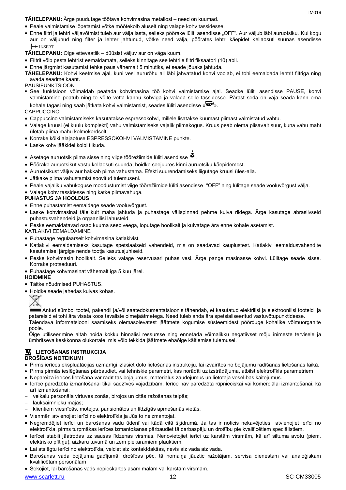IM019

**TÄHELEPANU:** Ärge puudutage töötava kohvimasina metallosi – need on kuumad.

- Peale valmistamise lõpetamist võtke mõõtekolb aluselt ning valage kohv tassidesse.
- Enne filtri ja lehtri väljavõtmist tuleb aur välja lasta, selleks pöörake lüliti asendisse "OFF". Aur väljub läbi auruotsiku. Kui kogu aur on väljunud ning filter ja lehter jahtunud, võtke need välja, pöörates lehtri käepidet kellaosuti suunas asendisse INSERT

**TÄHELEPANU:** Olge ettevaatlik – düüsist väljuv aur on väga kuum.

- Filtrit võib pesta lehtrist eemaldamata, selleks kinnitage see lehtrile filtri fiksaatori (10) abil.
- Enne järgmist kasutamist tehke paus vähemalt 5 minutiks, et seade jõuaks jahtuda.
- **TÄHELEPANU:** Kohvi keetmise ajal, kuni vesi aururõhu all läbi jahvatatud kohvi voolab, ei tohi eemaldada lehtrit filtriga ning avada seadme kaant.

#### PAUSIFUNKTSIOON

 See funktsioon võimaldab peatada kohvimasina töö kohvi valmistamise ajal. Seadke lüliti asendisse PAUSE, kohvi valmistamine peatub ning te võite võtta kannu kohviga ja valada selle tassidesse. Pärast seda on vaja seada kann oma kohale tagasi ning saab jätkata kohvi valmistamist, seades lüliti asendisse « $\mathbf{F}$ ».

#### **CAPPUCCINO**

- Cappuccino valmistamiseks kasutatakse espressokohvi, millele lisatakse kuumast piimast valmistatud vahtu.
- Valage kruusi (ei kuulu komplekti) vahu valmistamiseks vajalik piimakogus. Kruus peab olema piisavalt suur, kuna vahu maht ületab piima mahu kolmekordselt.
- Korrake kõiki alajaotuse ESPRESSOKOHVI VALMISTAMINE punkte.
- Laske kohvijääkidel kolbi tilkuda.
- Asetage auruotsik piima sisse ning viige töörežiimide lüliti asendisse  $\ddot{\mathbf{w}}$
- Pöörake auruotsikut vastu kellaosuti suunda, hoidke seejuures kinni auruotsiku käepidemest.
- Auruotsikust väljuv aur hakkab piima vahustama. Efekti suurendamiseks liigutage kruusi üles-alla.
- Jätkake piima vahustamist soovitud tulemuseni.
- Peale vajaliku vahukoguse moodustumist viige töörežiimide lüliti asendisse "OFF" ning lülitage seade vooluvõrgust välja.
- Valage kohv tassidesse ning katke piimavahuga.

#### **PUHASTUS JA HOOLDUS**

- Enne puhastamist eemaldage seade vooluvõrgust.
- Laske kohvimasinal täielikult maha jahtuda ja puhastage välispinnad pehme kuiva riidega. Ärge kasutage abrasiivseid puhastusvahendeid ja orgaanilisi lahusteid.
- Peske eemaldatavad osad kuuma seebiveega, loputage hoolikalt ja kuivatage ära enne kohale asetamist.

#### KATLAKIVI EEMALDAMINE

- Puhastage regulaarselt kohvimasina katlakivist.
- Katlakivi eemaldamiseks kasutage spetsiaalseid vahendeid, mis on saadavad kauplustest. Katlakivi eemaldusvahendite kasutamisel järgige nende tootja kasutusjuhiseid.
- Peske kohvimasin hoolikalt. Selleks valage reservuaari puhas vesi. Ärge pange masinasse kohvi. Lülitage seade sisse. Korrake protseduuri.
- Puhastage kohvmasinat vähemalt iga 5 kuu järel.

#### **HOIDMINE**

- Täitke nõudmised PUHASTUS.
- Hoidke seade jahedas kuivas kohas.



Antud sümbol tootel, pakendil ja/või saatedokumentatsioonis tähendab, et kasutatud elektrilisi ja elektroonilisi tooteid ja patareisid ei tohi ära visata koos tavaliste olmejäätmetega. Need tuleb anda ära spetsialiseeritud vastuvõtupunktidesse. Täiendava informatsiooni saamiseks olemasolevatest jäätmete kogumise süsteemidest pöörduge kohalike võimuorganite poole.

Õige utiliseerimine aitab hoida kokku hinnalisi ressursse ning ennetada võimalikku negatiivset mõju inimeste tervisele ja ümbritseva keskkonna olukorrale, mis võib tekkida jäätmete ebaõige käitlemise tulemusel.

## **LV LIETOŠANAS INSTRUKCIJA**

#### **DROŠĪBAS NOTEIKUMI**

- Pirms ierīces ekspluatācijas uzmanīgi izlasiet doto lietošanas instrukciju, lai izvairītos no bojājumu radīšanas lietošanas laikā.
- Pirms pirmās ieslēgšanas pārbaudiet, vai tehniskie parametri, kas norādīti uz izstrādājuma, atbilst elektrotīkla parametriem
- Nepareiza ierīces lietošana var radīt tās bojājumus, materiālus zaudējumus un lietotāja veselības kaitējumus.
- Ierīce paredzēta izmantošanai tikai sadzīves vajadzībām. Ierīce nav paredzēta rūpnieciskai vai komerciālai izmantošanai, kā arī izmantošanai:
- veikalu personāla virtuves zonās, birojos un citās ražošanas telpās;
- lauksaimnieku mājās;
- klientiem viesnīcās, moteļos, pansionātos un līdzīgās apmešanās vietās.
- Vienmēr atvienojiet ierīci no elektrotīkla ja Jūs to neizmantojat.
- Negremdējiet ierīci un barošanas vadu ūdenī vai kādā citā šķidrumā. Ja tas ir noticis nekavējoties atvienojiet ierīci no elektrotīkla, pirms turpmākas ierīces izmantošanas pārbaudiet tā darbaspēju un drošību pie kvalificētiem speciālistiem.
- Ierīcei stabili jāatrodas uz sausas līdzenas virsmas. Nenovietojiet ierīci uz karstām virsmām, kā arī siltuma avotu (piem. elektrisko plītiņu), aizkaru tuvumā un zem piekaramiem plauktiem.
- Lai atslēgtu ierīci no elektrotīkla, velciet aiz kontaktdakšas, nevis aiz vada aiz vada.
- Barošanas vada bojājuma gadījumā, drošības pēc, tā nomaiņa jāuztic ražotājam, servisa dienestam vai analoģiskam kvalificētam personālam
- Sekojiet, lai barošanas vads nepieskartos asām malām vai karstām virsmām.

www.scarlett.ru 12 SC-CM33005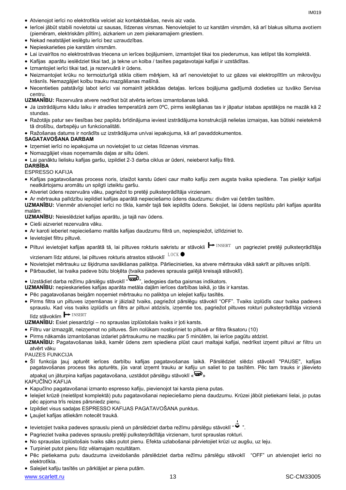- Atvienojot ierīci no elektrotīkla velciet aiz kontaktdakšas, nevis aiz vada.
	- Ierīcei jābūt stabili novietotai uz sausas, līdzenas virsmas. Nenovietojiet to uz karstām virsmām, kā arī blakus siltuma avotiem (piemēram, elektriskām plītīm), aizkariem un zem piekaramajiem griestiem.
	- Nekad neatstājiet ieslēgtu ierīci bez uzraudzības.
	- Nepieskarieties pie karstām virsmām.
	- Lai izvairītos no elektrostrāvas triecena un ierīces bojājumiem, izmantojiet tikai tos piederumus, kas ietilpst tās komplektā.
	- Kafijas aparātu ieslēdziet tikai tad, ja tekne un kolba / tasītes pagatavotajai kafijai ir uzstādītas.
	- Izmantojiet ierīci tikai tad, ja rezervuārā ir ūdens.
	- Neizmantojiet krūku no termoizturīgā stikla citiem mērķiem, kā arī nenovietojiet to uz gāzes vai elektroplītīm un mikroviļņu krāsnīs. Nemazgājiet kolbu trauku mazgāšanas mašīnā.
	- Necentieties patstāvīgi labot ierīci vai nomainīt jebkādas detaļas. Ierīces bojājuma gadījumā dodieties uz tuvāko Servisa centru.
	- **UZMANĪBU:** Rezervuāra atvere nedrīkst būt atvērta ierīces izmantošanas laikā.
	- Ja izstrādājums kādu laiku ir atradies temperatūrā zem 0ºC, pirms ieslēgšanas tas ir jāpatur istabas apstākļos ne mazāk kā 2 stundas.
	- Ražotājs patur sev tiesības bez papildu brīdinājuma ieviest izstrādājuma konstrukcijā nelielas izmaiņas, kas būtiski neietekmē tā drošību, darbspēju un funkcionalitāti.
	- Ražošanas datums ir norādīts uz izstrādājuma un/vai iepakojuma, kā arī pavaddokumentos.

#### **SAGATAVOŠANA DARBAM**

- Izņemiet ierīci no iepakojuma un novietojiet to uz cietas līdzenas virsmas.
- Nomazgājiet visas noņemamās daļas ar siltu ūdeni.
- Lai panāktu lielisku kafijas garšu, izpildiet 2-3 darba ciklus ar ūdeni, neieberot kafiju filtrā.

#### **DARBĪBA**

ESPRESSO KAFIJA

- Kafijas pagatavošanas process noris, izlaižot karstu ūdeni caur malto kafiju zem augsta tvaika spiediena. Tas piešķir kafijai neatkārtojamu aromātu un spilgti izteiktu garšu.
- Atveriet ūdens rezervuāra vāku, pagriežot to pretēji pulksteņrādītāja virzienam.
- Ar mērtrauka palīdzību iepildiet kafijas aparātā nepieciešamo ūdens daudzumu: divām vai četrām tasītēm.

**UZMANĪBU:** Vienmēr atvienojiet ierīci no tīkla, kamēr tajā tiek iepildīts ūdens. Sekojiet, lai ūdens neplūstu pāri kafijas aparāta malām.

**UZMANĪBU:** Neieslēdziet kafijas aparātu, ja tajā nav ūdens.

- Cieši aizveriet rezervuāra vāku.
- Ar karoti ieberiet nepieciešamo maltās kafijas daudzumu filtrā un, nepiespiežot, izlīdziniet to.
- levietojiet filtru piltuvē.
- Piltuvi ievietojiet kafijas aparātā tā, lai piltuves rokturis sakristu ar stāvokli ➡ INSERT un pagrieziet pretēji pulksteņrādītāja<br>virzienam līdz atdurei, lai piltuves rokturis atrastos stāvoklī 「LOCK virzienam līdz atdurei, lai piltuves rokturis atrastos stāvoklī $^{LOCK}$
- Novietojiet mērtrauku uz šķidruma savākšanas paliktņa. Pārliecinieties, ka atvere mērtrauka vākā sakrīt ar piltuves snīpīti.
- Pārbaudiet, lai tvaika padeve būtu bloķēta (tvaika padeves sprausla galējā kreisajā stāvoklī).
- Uzstādiet darba režīmu pārslēgu stāvoklī ">, iedegsies darba gaismas indikators.
- **UZMANĪBU:** nepieskarieties kafijas aparāta metāla daļām ierīces darbības laikā, jo tās ir karstas.
- Pēc pagatavošanas beigām noņemiet mērtrauku no paliktņa un ielejiet kafiju tasītēs.
- Pirms filtra un piltuves izņemšanas ir jāizlaiž tvaiks, pagriežot pārslēgu stāvoklī "OFF". Tvaiks izplūdīs caur tvaika padeves sprauslu. Kad viss tvaiks izplūdīs un filtrs ar piltuvi atdzisīs, izņemtie tos, pagriežot piltuves rokturi pulksteņrādītāja virzienā INSERT

# līdz stāvoklim **+** INSERT

**UZMANĪBU:** Esiet piesardzīgi – no sprauslas izplūstošais tvaiks ir ļoti karsts.

- Filtru var izmazgāt, neizņemot no piltuves. Šim nolūkam nostipriniet to piltuvē ar filtra fiksatoru (10)
- Pirms nākamās izmantošanas izdariet pārtraukumu ne mazāku par 5 minūtēm, lai ierīce pagūtu atdzist.
- **UZMANĪBU:** Pagatavošanas laikā, kamēr ūdens zem spiediena plūst cauri maltajai kafijai, nedrīkst izņemt piltuvi ar filtru un atvērt vāku

#### PAUZES FUNKCIJA

 Šī funkcija ļauj apturēt ierīces darbību kafijas pagatavošanas laikā. Pārslēdziet slēdzi stāvoklī "PAUSE", kafijas pagatavošanas process tiks apturēts, jūs varat izņemt trauku ar kafiju un saliet to pa tasītēm. Pēc tam trauks ir jāievieto atpakaļ un jāturpina kafijas pagatavošana, uzstādot pārslēgu stāvoklī « »

#### KAPUČĪNO KAFIJA

- Kapučīno pagatavošanai izmanto espresso kafiju, pievienojot tai karsta piena putas.
- Ielejiet krūzē (neietilpst komplektā) putu pagatavošanai nepieciešamo piena daudzumu. Krūzei jābūt pietiekami lielai, jo putas pēc apjoma trīs reizes pārsniedz pienu.
- Izpildiet visus sadaļas ESPRESSO KAFIJAS PAGATAVOŠANA punktus.
- Ļaujiet kafijas atliekām notecēt traukā.
- levietojiet tvaika padeves sprauslu pienā un pārslēdziet darba režīmu pārslēgu stāvoklī " "
- Pagrieziet tvaika padeves sprauslu pretēji pulksteņrādītāja virzienam, turot sprauslas rokturi.
- No sprauslas izplūstošais tvaiks sāks putot pienu. Efekta uzlabošanai pārvietojiet krūzi uz augšu, uz leju.
- Turpiniet putot pienu līdz vēlamajam rezultātam.
- Pēc pietiekama putu daudzuma izveidošanās pārslēdziet darba režīmu pārslēgu stāvoklī "OFF" un atvienojiet ierīci no elektrotīkla.
- Salejiet kafiju tasītēs un pārklājiet ar piena putām.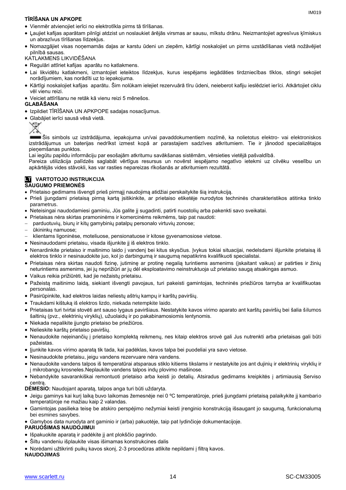#### **TĪRĪŠANA UN APKOPE**

- Vienmēr atvienojiet ierīci no elektrotīkla pirms tā tīrīšanas.
- Ļaujiet kafijas aparātam pilnīgi atdzist un noslaukiet ārējās virsmas ar sausu, mīkstu drānu. Neizmantojiet agresīvus ķīmiskus un abrazīvus tīrīšanas līdzekļus.
- Nomazgājiet visas noņemamās daļas ar karstu ūdeni un ziepēm, kārtīgi noskalojiet un pirms uzstādīšanas vietā nožāvējiet pilnībā sausas.

KATLAKMENS LIKVIDĒŠANA

- Regulāri attīriet kafijas aparātu no katlakmens.
- Lai likvidētu katlakmeni, izmantojiet ieteiktos līdzekļus, kurus iespējams iegādāties tirdzniecības tīklos, stingri sekojiet norādījumiem, kas norādīti uz to iepakojuma.
- Kārtīgi noskalojiet kafijas aparātu. Šim nolūkam ielejiet rezervuārā tīru ūdeni, neieberot kafiju ieslēdziet ierīci. Atkārtojiet ciklu vēl vienu reizi.
- Veiciet attīrīšanu ne retāk kā vienu reizi 5 mēnešos.

#### **GLABĀŠANA**

- Izpildiet TĪRĪŠANA UN APKPOPE sadaļas nosacījumus.
- Glabājiet ierīci sausā vēsā vietā.



Šis simbols uz izstrādājuma, iepakojuma un/vai pavaddokumentiem nozīmē, ka nolietotus elektro- vai elektroniskos izstrādājumus un baterijas nedrīkst izmest kopā ar parastajiem sadzīves atkritumiem. Tie ir jānodod specializētajos pieņemšanas punktos.

Lai iegūtu papildu informāciju par esošajām atkritumu savākšanas sistēmām, vērsieties vietējā pašvaldībā.

Pareiza utilizācija palīdzēs saglabāt vērtīgus resursus un novērst iespējamo negatīvo ietekmi uz cilvēku veselību un apkārtējās vides stāvokli, kas var rasties nepareizas rīkošanās ar atkritumiem rezultātā.

## **LT** VARTOTOJO INSTRUKCIJA

#### **SAUGUMO PRIEMONĖS**

- Prietaiso gedimams išvengti prieš pirmąjį naudojimą atidžiai perskaitykite šią instrukciją.
- Prieš įjungdami prietaisą pirmą kartą įsitikinkite, ar prietaiso etiketėje nurodytos techninės charakteristikos atitinka tinklo parametrus.
- Neteisingai naudodamiesi gaminiu, Jūs galite jį sugadinti, patirti nuostolių arba pakenkti savo sveikatai.
- Prietaisas nėra skirtas pramoninėms ir komercinėms reikmėms, taip pat naudoti:
- parduotuvių, biurų ir kitų gamybinių patalpų personalo virtuvių zonose;
- ūkininkų namuose;
- klientams ligoninėse, moteliuose, pensionatuose ir kitose gyvenamosiose vietose.
- Nesinaudodami prietaisu, visada išjunkite jį iš elektros tinklo.
- Nenardinkite prietaiso ir maitinimo laido į vandenį bei kitus skysčius. Įvykus tokiai situacijai, nedelsdami išjunkite prietaisą iš elektros tinklo ir nesinaudokite juo, kol jo darbingumą ir saugumą nepatikrins kvalifikuoti specialistai.
- Prietaisas nėra skirtas naudoti fizinę, jutiminę ar protinę negalią turintiems asmenims (įskaitant vaikus) ar patirties ir žinių neturintiems asmenims, jei jų neprižiūri ar jų dėl eksploatavimo neinstruktuoja už prietaiso saugą atsakingas asmuo.
- Vaikus reikia prižiūrėti, kad jie nežaistų prietaisu.
- Pažeistą maitinimo laidą, siekiant išvengti pavojaus, turi pakeisti gamintojas, techninės priežiūros tarnyba ar kvalifikuotas personalas.
- Pasirūpinkite, kad elektros laidas neliestų aštrių kampų ir karštų paviršių.
- Traukdami kištuką iš elektros lizdo, niekada netempkite laido.
- Prietaisas turi tvirtai stovėti ant sauso lygaus paviršiaus. Nestatykite kavos virimo aparato ant karštų paviršių bei šalia šilumos šaltinių (pvz., elektrinių viryklių), užuolaidų ir po pakabinamosiomis lentynomis.
- Niekada nepalikite ijungto prietaiso be priežiūros.
- Nelieskite karštų prietaiso paviršių.
- Nenaudokite neįeinančių į prietaiso komplektą reikmenų, nes kitaip elektros srovė gali Jus nutrenkti arba prietaisas gali būti pažeistas.
- Jjunkite kavos virimo aparatą tik tada, kai padėklas, kavos talpa bei puodeliai yra savo vietose.
- Nesinaudokite prietaisu, jeigu vandens rezervuare nėra vandens.
- Nenaudokite vandens talpos iš temperatūrai atsparaus stiklo kitiems tikslams ir nestatykite jos ant dujinių ir elektrinių viryklių ir į mikrobangų krosneles.Neplaukite vandens talpos indų plovimo mašinose.
- Nebandykite savarankiškai remontuoti prietaiso arba keisti jo detalių. Atsiradus gedimams kreipkitės į artimiausią Serviso centrą.
- **DĖMESIO:** Naudojant aparatą, talpos anga turi būti uždaryta.
- Jeigu gaminys kai kurį laiką buvo laikomas žemesnėje nei 0 ºC temperatūroje, prieš įjungdami prietaisą palaikykite jį kambario temperatūroje ne mažiau kaip 2 valandas.
- Gamintojas pasilieka teisę be atskiro perspėjimo nežymiai keisti įrenginio konstrukciją išsaugant jo saugumą, funkcionalumą bei esmines savybes.
- Gamybos data nurodyta ant gaminio ir (arba) pakuotėje, taip pat lydinčioje dokumentacijoje.

#### **PARUOŠIMAS NAUDOJIMUI**

- Išpakuokite aparatą ir padėkite jį ant plokščio pagrindo.
- Šiltu vandeniu išplaukite visas išimamas konstrukcines dalis
- Norėdami užtikrinti puikų kavos skonį, 2-3 procedūras atlikite nepildami į filtrą kavos.

#### **NAUDOJIMAS**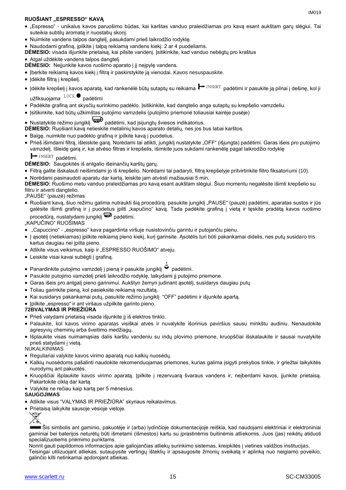#### **RUOŠIANT "ESPRESSO" KAVĄ**

- "Espresso" unikalus kavos paruošimo būdas, kai karštas vanduo praleidžiamas pro kavą esant aukštam garų slėgiui. Tai suteikia subtilų aromatą ir nuostabų skonį.
- Nuimkite vandens talpos dangtelį, pasukdami prieš laikrodžio rodyklę.
- Naudodami grafiną, įpilkite į talpą reikiamą vandens kiekį: 2 ar 4 puodeliams.
- **DĖMESIO:** visada išjunkite prietaisą, kai pilsite vandenį. Įsitikinkite, kad vanduo nebėgtų pro kraštus

#### • Atgal uždėkite vandens talpos dangteli

**DĖMESIO:** Neįjunkite kavos ruošimo aparato į jį neįpylę vandens.

- Įberkite reikiamą kavos kiekį į filtrą ir paskirstykite ją vienodai. Kavos nesuspauskite.
- Įdėkite filtrą į krepšelį.
- Įdėkite krepšelį į kavos aparatą, kad rankenėlė būtų sutaptų su reikiama ➡ INSERT padėtimi ir pasukite ją pilnai į dešinę, kol ji<br>užfiksuojama <sup>LOCK</sup> padėtimi

užfiksuojama <sup>LOCR</sup> padėtimi

- Padėkite grafiną ant skysčių surinkimo padėklo. Įsitikinkite, kad dangtelio anga sutaptų su krepšelio vamzdeliu.
- Įsitikinkite, kad būtų užkimštas putojimo vamzdelis (putojimo priemonė toliausiai kairėje pusėje)

# • Nustatykite režimo jungiklį padėtimi, kad įsijungtų šviesos indikatorius.

- **DĖMESIO:** Ruošiant kavą nelieskite metalinių kavos aparato detalių, nes jos bus labai karštos.
- Baigę, nuimkite nuo padėklo grafiną ir įpilkite kavą į puodelius.
- Prieš išimdami filtrą, išleiskite garą. Norėdami tai atlikti, jungiklį nustatykite "OFF" (išjungta) padėtimi. Garas išeis pro putojimo vamzdelį. Išleidę garą ir, kai atvėso filtras ir krepšelis, išimkite juos sukdami rankenėlę pagal laikrodžio rodyklę
	- INSERT padėtimi  $\rightarrow$  INSERT padėtimi.

**DĖMESIO:** Saugokitės iš antgalio išeinančių karštų garų.

- Filtrą galite išskalauti neišimdami jo iš krepšelio. Norėdami tai padaryti, filtrą krepšelyje pritvirtinkite filtro fiksatoriumi (10).
- Norėdami pasinaudoti aparatu dar kartą, leiskite jam atvėsti mažiausiai 5 min.

**DĖMESIO:** Ruošimo metu vanduo praleidžiamas pro kavą esant aukštam slėgiui. Šiuo momentu negalėsite išimti krepšelio su filtru ir atverti dangtelio.

- "PAUSE" (pauzė) režimas
- Ruošiant kavą, šiuo režimu galima nutraukti šią procedūrą. pasukite jungiklį "PAUSE" (pauzė) padėtimi, aparatas sustos ir jūs galėsite išimti grafiną ir į puodelius įpilti "kapučino" kavą. Tada padėkite grafiną į vietą ir tęskite pradėtą kavos ruošimo procedūrą, nustatydami jungiklį **wad** padėtimi.

"KAPUČINO" RUOŠIMAS

- "Capuccino" "espresso" kava pagardinta viršuje nusistovinčiu garintu ir putojančiu pienu.
- Į asotėlį (netiekiamas) įpilkite reikiamą pieno kiekį, kurį garinsite. Asotėlis turi būti pakankamai didelis, nes putų susidaro tris kartus daugiau nei įpilta pieno.
- Atlikite visus veiksmus, kaip ir "ESPRESSO RUOŠIMO" atveju.
- Leiskite visai kavai subėgti į grafiną.
- Panardinkite putojimo vamzdelį į pieną ir pasukite jungiklį padėtimi.
- Pasukite putojimo vamzdelį prieš laikrodžio rodyklę, laikydami jį putojimo priemone.
- Garas išeis pro antgalį pieno garinimui. Aukštyn žemyn judinant ąsotėlį, susidarys daugiau putų
- Toliau garinkite pieną, kol pasieksite reikiamą rezultatą.
- Kai susidarys pakankamai putų, pasukite režimo jungiklį "OFF" padėtimi ir išjunkite apartą.
- Ipilkite "espresso" ir ant viršaus užpilkite garinto pieno.

#### **72BVALYMAS IR PRIEŽIŪRA**

- Prieš valydami prietaisą visada išjunkite jį iš elektros tinklo.
- Palaukite, kol kavos virimo aparatas visiškai atvės ir nuvalykite išorinius paviršius sausu minkštu audiniu. Nenaudokite agresyvių cheminių arba šveitimo medžiagų.
- Išplaukite visas nuimamąsias dalis karštu vandeniu su indų plovimo priemone, kruopščiai išskalaukite ir sausai nuvalykite prieš statydami į vietą.

#### NUKALKINIMAS

- Reguliariai valykite kavos virimo aparatą nuo kalkių nuosėdų.
- Kalkių nuosėdoms pašalinti naudokite rekomenduojamas priemones, kurias galima įsigyti prekybos tinkle, ir griežtai laikykitės nurodymų ant pakuotės.
- Kruopščiai išplaukite kavos virimo aparatą. Įpilkite į rezervuarą švaraus vandens ir, neįberdami kavos, įjunkite prietaisą. Pakartokite ciklą dar kartą.
- Valykite ne rečiau kaip kartą per 5 mėnesius.

#### **SAUGOJIMAS**

- Atlikite visus "VALYMAS IR PRIEŽIŪRA" skyriaus reikalavimus.
- Prietaisą laikykite sausoje vėsioje vietoje.

Šis simbolis ant gaminio, pakuotėje ir (arba) lydinčioje dokumentacijoje reiškia, kad naudojami elektriniai ir elektroniniai gaminiai bei baterijos neturėtų būti išmetami (išmestos) kartu su įprastinėmis buitinėmis atliekomis. Juos (jas) reikėtų atiduoti specializuotiems priėmimo punktams.

Norint gauti papildomos informacijos apie galiojančias atliekų surinkimo sistemas, kreipkitės į vietines valdžios institucijas. Teisingai utilizuojant atliekas, sutaupysite vertingų išteklių ir apsaugosite žmonių sveikatą ir aplinką nuo neigiamo poveikio, galinčio kilti netinkamai apdorojant atliekas.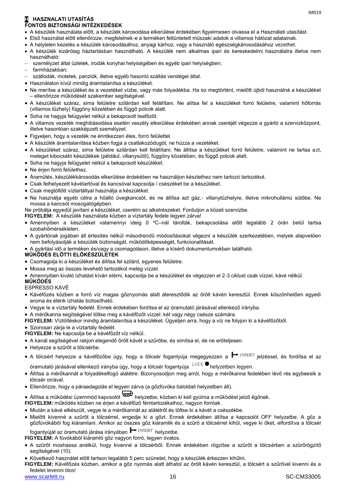#### **H HASZNALATI UTASÍTÁS FONTOS BIZTONSÁGI INTÉZKEDÉSEK**

- A készülék használata előtt, a készülék károsodása elkerülése érdekében figyelmesen olvassa el a Használati utasítást.
- Első használat előtt ellenőrizze, megfelelnek-e a terméken feltüntetett műszaki adatok a villamos hálózat adatainak.
- A helytelen kezelés a készülék károsodásához, anyagi kárhoz, vagy a használó egészségkárosodásához vezethet.
- A készülék kizárólag háztartásban használható. A készülék nem alkalmas ipari és kereskedelmi használatra illetve nem használható:
- személyzet által üzletek, irodák konyhai helyiségében és egyéb ipari helyiségben;
- farmházakban;
- szállodák, motelek, panziók, illetve egyéb hasonló szállás vendégei által.
- Használaton kívül mindig áramtalanítsa a készüléket.
- Ne merítse a készüléket és a vezetéket vízbe, vagy más folyadékba. Ha ez megtörtént, mielőtt újból használná a készüléket – ellenőrizze működését szakember segítségével.
- A készüléket száraz, sima felületre szilárdan kell felállítani. Ne alítsa fel a készüléket forró felületre, valamint hőforrás (villamos tűzhely) függöny közelében és függő polcok alatt.
- Soha ne hagyja felügyelet nélkül a bekapcsolt teafőzőt.
- A villamos vezeték meghibásodása esetén veszély elkerülése érdekében annak cseréjét végezze a gyártó a szervizközpont, illetve hasonlóan szakképzett személyzet.
- Figyeljen, hogy a vezeték ne érintkezzen éles, forró felülettel.
- A készülék áramtalanítása közben fogja a csatlakozódugót, ne húzza a vezetéket.
- A készüléket száraz, sima felületre szilárdan kell felállítani. Ne állítsa a készüléket forró felületre, valamint ne tartsa azt, meleget kibocsátó készülékek (például, villanysütő), függöny közelében, és függő polcok alatt.
- Soha ne hagyja felügyelet nélkül a bekapcsolt készüléket.
- Ne érjen forró felülethez.
- Áramütés, készülékkárosodás elkerülése érdekében ne használjon készlethez nem tartozó tartozékot.
- Csak felhelyezett kávétartóval és kancsóval kapcsolja / csészéket be a készüléket.
- Csak megtöltött víztartállyal használja a készüléket.
- Ne használja egyéb célra a hőálló üvegkancsót, és ne állítsa azt gáz,- villanytűzhelyre, illetve mikrohullámú sütőbe. Ne mossa a kancsót mosogatógépben.

Ne próbálja egyedül javítani a készüléket, cserélni az alkatrészeket. Forduljon a közeli szervizbe.

- **FIGYELEM:** A készülék használata közben a víztartály fedele legyen zárva!
- Amennyiben a készüléket valamennyi ideig 0 ºC–nál tárolták, bekapcsolása előtt legalább 2 órán belül tartsa szobahőmérsékleten.
- A gyártónak jogában áll értesítés nélkül másodrendű módosításokat végezni a készülék szerkezetében, melyek alapvetően nem befolyásolják a készülék biztonságát, működőképességét, funkcionalitását.
- A gyártási idő a terméken és/vagy a csomagoláson, illetve a kísérő dokumentumokban található.

#### **MŰKÖDÉS ELŐTTI ELŐKÉSZÜLETEK**

- Csomagolja ki a készüléket és állítsa fel szilárd, egyenes felületre.
- Mossa meg az összes levehető tartozékot meleg vízzel.
- Amennyiben kiváló ízhatást kíván elérni, kapcsolja be a készüléket és végezzen el 2-3 ciklust csak vízzel, kávé nélkül.

#### **MŰKÖDÉS**

#### ESPRESSO KÁVÉ

- Kávéfőzés közben a forró víz magas gőznyomás alatt áteresztődik az őrölt kávén keresztül. Ennek köszönhetően egyedi aroma és élénk ízhatás biztosítható.
- Vegye le a víztartály fedelét. Ennek érdekében fordítsa el az óramutató járásával ellenkező irányba.
- A mérőkanna segítségével töltse meg a kávéfőzőt vízzel: két vagy négy csésze számára.

**FIGYELEM:** Víztöltéskor mindig áramtalanítsa a készüléket. Ügyeljen arra, hogy a víz ne folyjon ki a kávéfőzőből.

Szorosan zárja le a víztartály fedelét.

- **FIGYELEM:** Ne kapcsolja be a kávéfőzőt víz nélkül.
- A kanál segítségével rakjon elegendő őrölt kávét a szűrőbe, és simítsa el, de ne erőteljesen.
- Helyezze a szűrőt a tölcsérbe.
- A tölcsért helyezze a kávéfőzőbe úgy, hogy a tölcsér fogantyúja megegyezzen a <sup>┣━</sup> <sup>INSERT</sup> jelzéssel, és fordítsa el az<br>óramutató iárásával ellenkező iránγba úgγ, hogy a tölcsér fogantγúia <sup>L0CK ●</sup>helyzetben legyen.
- óramutató járásával ellenkező irányba úgy, hogy a tölcsér fogantyúja helyzetben legyen.
- Állítsa a mérőkannát a folyadékelfogó alátétre. Bizonyosodjon meg arról, hogy a mérőkanna fedelében lévő rés egybeesik a tölcsér orrával.
- Ellenőrizze, hogy a páraadagolás el legyen zárva (a gőzfúvóka baloldali helyzetben áll).
- Állítsa a működési üzemmód kapcsolót helyzetbe, közben ki kell gyúlnia a működést jelző égőnek.

#### **FIGYELEM:** működés közben ne érjen a kávéfőző fémtartozékaihoz, nagyon forróak.

- Miután a kávé elkészült, vegye le a mérőkannát az alátétről és töltse ki a kávét a csészékbe.
- Mielőtt kivenné a szűrőt a tölcsérrel, engedje ki a gőzt. Ennek érdekében állítsa a kapcsolót OFF helyzetbe. A gőz a gőzfúvókából fog kiáramlani. Amikor az összes gőz kiáramlik és a szűrő a tölcsérrel kihűl, vegye ki őket, elfordítva a tölcsér INSERT helyzethe

fogantyúját az óramutató járása irányában ■ INSERT helyzetbe. **FIGYELEM:** A fúvókából kiáramló gőz nagyon forró, legyen óvatos.

- A szűrőt moshassa anélkül, hogy kivenné a tölcsérből. Ennek érdekében rögzítse a szűrőt a tölcsérben a szűrőrögzítő segítségével (10).
- Következő használat előtt tartson legalább 5 perc szünetet, hogy a készülék érkezzen kihűlni.
- **FIGYELEM:** Kávéfőzés közben, amikor a gőz nyomás alatt áthatol az őrölt kávén keresztül, a tölcsért a szűrővel kivenni és a fedelet levenni tilos!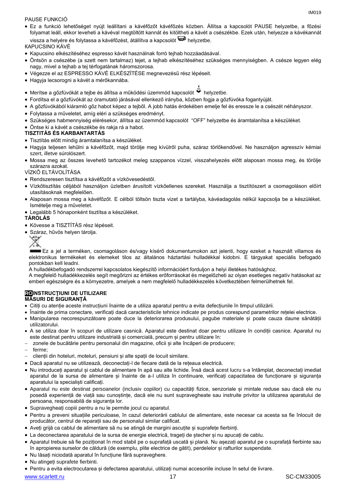#### PAUSE FUNKCIÓ

 Ez a funkció lehetőséget nyújt leállítani a kávéfőzőt kávéfőzés közben. Állítsa a kapcsolót PAUSE helyzetbe, a főzési folyamat leáll, ekkor leveheti a kávéval megtöltött kannát és kitöltheti a kávét a csészékbe. Ezek után, helyezze a kávékannát vissza a helyére és folytassa a kávéfőzést, átállítva a kapcsolót  $\overline{\mathbb{D}}$  helyzetbe.

КAPUCSINO KÁVÉ

- Kapucsino elkészítéséhez espresso kávét használnak forró tejhab hozzáadásával.
- Öntsön a csészébe (a szett nem tartalmaz) tejet, a tejhab elkészítéséhez szükséges mennyiségben. A csésze legyen elég nagy, mivel a tejhab a tej térfogatának háromszorosa.
- Végezze el az ESPRESSO KÁVÉ ELKÉSZÍTÉSE megnevezésű rész lépéseit.
- Hagyja lecsorogni a kávét a mérőkannába.
- Merítse a gőzfúvókát a tejbe és állítsa a működési üzemmód kapcsolót « helyzetbe.
- Fordítsa el a gőzfúvókát az óramutató járásával ellenkező irányba, közben fogja a gőzfúvóka fogantyúját.
- A gőzfúvókából kiáramló gőz habot képez a tejből. A jobb hatás érdekében emelje fel és eressze le a csészét néhányszor.
- Folytassa a műveletet, amíg eléri a szükséges eredményt.
- Szükséges habmennyiség elérésekor, állítsa az üzemmód kapcsolót "OFF" helyzetbe és áramtalanítsa a készüléket.
- Öntse ki a kávét a csészékbe és rakja rá a habot.

#### **TISZTITÁS ÉS KARBANTARTÁS**

- Tisztítás előtt mindig áramtalanítsa a készüléket.
- Hagyja teljesen lehűlni a kávéfőzőt, majd törölje meg kívülről puha, száraz törlőkendővel. Ne használjon agresszív kémiai szert, illetve súrolószert.
- Mossa meg az összes levehető tartozékot meleg szappanos vízzel, visszahelyezés előtt alaposan mossa meg, és törölje szárazra azokat.

### VÍZKŐ ELTÁVOLÍTÁSA

- Rendszeresen tisztítsa a kávéfőzőt a vízkövesedéstől.
- Vízkőtisztítás céljából használjon üzletben árusított vízkőellenes szereket. Használja a tisztítószert a csomagoláson előírt utasításoknak megfelelően.
- Alaposan mossa meg a kávéfőzőt. E célból töltsön tiszta vizet a tartályba, kávéadagolás nélkül kapcsolja be a készüléket. Ismételje meg a műveletet.
- Legalább 5 hónaponként tisztítsa a készüléket.

### **TÁROLÁS**

- Kövesse a TISZTÍTÁS rész lépéseit.
- Száraz, hűvös helyen tárolja.



Ez a jel a terméken, csomagoláson és/vagy kísérő dokumentumokon azt jelenti, hogy ezeket a használt villamos és elektronikus termékeket és elemeket tilos az általános háztartási hulladékkal kidobni. E tárgyakat speciális befogadó pontokban kell leadni.

A hulladékbefogadó rendszerrel kapcsolatos kiegészítő információért forduljon a helyi illetékes hatósághoz.

A megfelelő hulladékkezelés segít megőrizni az értékes erőforrásokat és megelőzheti az olyan esetleges negatív hatásokat az emberi egészségre és a környezetre, amelyek a nem megfelelő hulladékkezelés következtében felmerülhetnek fel.

#### **ROINSTRUCŢIUNI DE UTILIZARE MĂSURI DE SIGURANȚĂ**

- Citiți cu atenție aceste instrucțiuni înainte de a utiliza aparatul pentru a evita defecțiunile în timpul utilizării.
- Înainte de prima conectare, verificați dacă caracteristicile tehnice indicate pe produs corespund parametrilor rețelei electrice.
- Manipularea necorespunzătoare poate duce la deteriorarea produsului, pagube materiale și poate cauza daune sănătății utilizatorului.
- A se utiliza doar în scopuri de utilizare casnică. Aparatul este destinat doar pentru utilizare în condiții casnice. Aparatul nu este destinat pentru utilizare industrială și comercială, precum și pentru utilizare în:
- zonele de bucătărie pentru personalul din magazine, oficii și alte încăperi de producere;
- ferme;
- clienții din hoteluri, moteluri, pensiuni și alte spații de locuit similare.
- Dacă aparatul nu se utilizează, deconectați-l de fiecare dată de la rețeaua electrică.
- Nu introduceți aparatul și cablul de alimentare în apă sau alte lichide. Însă dacă acest lucru s-a întâmplat, deconectați imediat aparatul de la sursa de alimentare și înainte de a-l utiliza în continuare, verificați capacitatea de funcționare și siguranța aparatului la specialisti calificati.
- Aparatul nu este destinat persoanelor (inclusiv copiilor) cu capacități fizice, senzoriale și mintale reduse sau dacă ele nu posedă experiență de viață sau cunoștințe, dacă ele nu sunt supravegheate sau instruite privitor la utilizarea aparatului de persoana, responsabilă de siguranța lor.
- Supravegheați copiii pentru a nu le permite jocul cu aparatul.
- Pentru a preveni situațiile periculoase, în cazul deteriorării cablului de alimentare, este necesar ca acesta sa fie înlocuit de producător, centrul de reparații sau de personalul similar calificat.
- Aveți grijă ca cablul de alimentare să nu se atingă de margini ascuțite și suprafețe fierbinți.
- La deconectarea aparatului de la sursa de energie electrică, trageți de ștecher și nu apucați de cablu.
- Aparatul trebuie să fie poziționat în mod stabil pe o suprafață uscată și plană. Nu așezați aparatul pe o suprafață fierbinte sau în apropierea surselor de căldură (de exemplu, plite electrice de gătit), perdelelor și rafturilor suspendate.
- Nu lăsați niciodată aparatul în funcțiune fără supraveghere.
- Nu atingeți suprafete fierbinti.
- Pentru a evita electrocutarea și defectarea aparatului, utilizați numai accesoriile incluse în setul de livrare.

www.scarlett.ru 17 SC-CM33005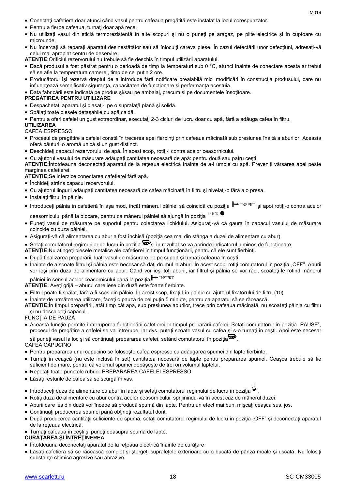- Conectaţi cafetiera doar atunci când vasul pentru cafeaua pregătită este instalat la locul corespunzător.
- Pentru a fierbe cafeaua, turnaţi doar apă rece.
- Nu utilizaţi vasul din sticlă termorezistentă în alte scopuri şi nu o puneţi pe aragaz, pe plite electrice şi în cuptoare cu microunde.
- Nu încercați să reparați aparatul desinestătător sau să înlocuiți careva piese. În cazul detectării unor defecțiuni, adresați-vă celui mai apropiat centru de deservire.
- **ATENŢIE:**Orificiul rezervorului nu trebuie să fie deschis în timpul utilizării aparatului.
- Dacă produsul a fost păstrat pentru o perioadă de timp la temperaturi sub 0 °C, atunci înainte de conectare acesta ar trebui să se afle la temperatura camerei, timp de cel puțin 2 ore.
- Producătorul își rezervă dreptul de a introduce fără notificare prealabilă mici modificări în construcţia produsului, care nu influentează semnificativ siguranța, capacitatea de funcționare și performanța acestuia.

Data fabricării este indicată pe produs şi/sau pe ambalaj, precum şi pe documentele însoţitoare.

#### **PREGĂTIREA PENTRU UTILIZARE**

- Despachetaţi aparatul şi plasaţi-l pe o suprafaţă plană şi solidă.
- Spălaţi toate piesele detaşabile cu apă caldă.
- Pentru a oferi cafelei un gust extraordinar, executaţi 2-3 cicluri de lucru doar cu apă, fără a adăuga cafea în filtru.

#### **UTILIZAREA**

### CAFEA ESPRESSO

- Procesul de pregătire a cafelei constă în trecerea apei fierbinţi prin cafeaua măcinată sub presiunea înaltă a aburilor. Aceasta oferă băuturii o aromă unică şi un gust distinct.
- Deschideţi capacul rezervorului de apă. În acest scop, rotiţi-l contra acelor ceasornicului.
- Cu ajutorul vasului de măsurare adăugați cantitatea necesară de apă: pentru două sau patru cești.

**ATENŢIE:**Întotdeauna deconectaţi aparatul de la reţeaua electrică înainte de a-l umple cu apă. Preveniţi vărsarea apei peste marginea cafetierei.

**ATENŢIE:**Se interzice conectarea cafetierei fără apă.

- Închideți strâns capacul rezervorului.
- Cu ajutorul lingurii adăugaţi cantitatea necesară de cafea măcinată în filtru şi nivelaţi-o fără a o presa.
- Instalați filtrul în pâlnie.
- Introduceți pâlnia în cafetieră în aşa mod, încât mânerul pâlniei să coincidă cu poziția ━ INSERT și apoi rotiți-o contra acelor<br>ceasornicului până la blocare, pentru ca mânerul pâlniei să aiungă în pozitia <sup>LOCK</sup> ●

ceasornicului până la blocare, pentru ca mânerul pâlniei să ajungă în poziția  $^{ \text{LOCK} }$ 

- Puneţi vasul de măsurare pe suportul pentru colectarea lichidului. Asiguraţi-vă că gaura în capacul vasului de măsurare coincide cu duza pâlniei.
- Asiguraţi-vă că alimentarea cu abur a fost închisă (poziţia cea mai din stânga a duzei de alimentare cu abur).
- Setați comutatorul regimurilor de lucru în poziția suberist în rezultat se va aprinde indicatorul luminos de funcționare.
- **ATENŢIE:**Nu atingeţi piesele metalice ale cafetierei în timpul funcţionării, pentru că ele sunt fierbinţi.
- După finalizarea preparării, luaţi vasul de măsurare de pe suport şi turnaţi cafeaua în ceşti.
- Înainte de a scoate filtrul și pâlnia este necesar să dați drumul la aburi. În acest scop, rotiți comutatorul în poziția "OFF". Aburii vor ieşi prin duza de alimentare cu abur. Când vor ieşi toţi aburii, iar filtrul şi pâlnia se vor răci, scoateţi-le rotind mânerul INSERT

pâlniei în sensul acelor ceasornicului până la poziția  $\mapsto$  INSERT

- **ATENŢIE:** Aveţi grijă aburul care iese din duză este foarte fierbinte.
- Filtrul poate fi spălat, fără a fi scos din pâlnie. În acest scop, fixaţi-l în pâlnie cu ajutorul fixatorului de filtru (10)
- Înainte de următoarea utilizare, faceţi o pauză de cel puţin 5 minute, pentru ca aparatul să se răcească.
- **ATENŢIE:**În timpul preparării, atât timp cât apa, sub presiunea aburilor, trece prin cafeaua măcinată, nu scoateţi pâlnia cu filtru şi nu deschideţi capacul.
- FUNCŢIA DE PAUZĂ
- Această funcție permite întreruperea funcționării cafetierei în timpul preparării cafelei. Setați comutatorul în poziția "PAUSE", procesul de pregătire a cafelei se va întrerupe, iar dvs. puteţi scoate vasul cu cafea şi s-o turnaţi în ceşti. Apoi este necesar

să puneți vasul la loc și să continuați prepararea cafelei, setând comutatorul în poziția  $\overline{\mathbf{w}}$ .

CAFEA CAPUCINO

- Pentru prepararea unui capucino se foloseşte cafea espresso cu adăugarea spumei din lapte fierbinte.
- Turnaţi în ceaşcă (nu este inclusă în set) cantitatea necesară de lapte pentru prepararea spumei. Ceaşca trebuie să fie suficient de mare, pentru că volumul spumei depăşeşte de trei ori volumul laptelui.
- Repetaţi toate punctele rubricii PREPARAREA CAFELEI ESPRESSO.
- Lăsaţi resturile de cafea să se scurgă în vas.
- Introduceți duza de alimentare cu abur în lapte și setați comutatorul regimului de lucru în poziția .
- Rotiţi duza de alimentare cu abur contra acelor ceasornicului, sprijinindu-vă în acest caz de mânerul duzei.
- Aburii care ies din duză vor începe să producă spumă din lapte. Pentru un efect mai bun, miscati ceasca sus, jos.
- Continuați producerea spumei până obțineți rezultatul dorit.
- După producerea cantității suficiente de spumă, setați comutatorul regimului de lucru în poziția "OFF" și deconectați aparatul de la rețeaua electrică.
- Turnaţi cafeaua în ceşti şi puneţi deasupra spuma de lapte.

**CURĂŢAREA ŞI ÎNTREŢINEREA**

- Întotdeauna deconectaţi aparatul de la reţeaua electrică înainte de curăţare.
- Lăsaţi cafetiera să se răcească complet şi ştergeţi suprafeţele exterioare cu o bucată de pânză moale şi uscată. Nu folosiţi substanțe chimice agresive sau abrazive.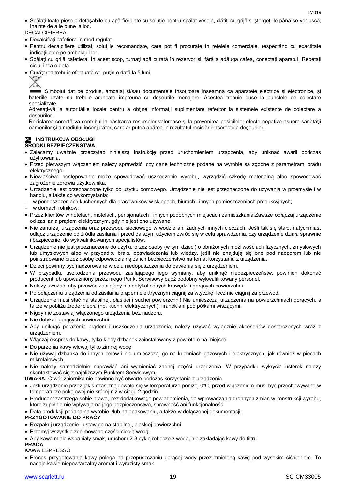Spălaţi toate piesele detaşabile cu apă fierbinte cu soluţie pentru spălat vesela, clătiţi cu grijă şi ştergeţi-le până se vor usca, înainte de a le pune la loc.

DECALCIFIEREA

- Decalcifiaţi cafetiera în mod regulat.
- Pentru decalcifiere utilizaţi soluţiile recomandate, care pot fi procurate în reţelele comerciale, respectând cu exactitate indicaţiile de pe ambalajul lor.
- Spălaţi cu grijă cafetiera. În acest scop, turnaţi apă curată în rezervor şi, fără a adăuga cafea, conectaţi aparatul. Repetaţi ciclul încă o data.
- Curăţarea trebuie efectuată cel puţin o dată la 5 luni.



Simbolul dat pe produs, ambalaj si/sau documentele însotitoare înseamnă că aparatele electrice și electronice, și bateriile uzate nu trebuie aruncate împreună cu deşeurile menajere. Acestea trebuie duse la punctele de colectare specializate.

Adresați-vă la autoritățile locale pentru a obține informații suplimentare referitor la sistemele existente de colectare a deşeurilor.

Reciclarea corectă va contribui la păstrarea resurselor valoroase și la prevenirea posibilelor efecte negative asupra sănătății oamenilor şi a mediului înconjurător, care ar putea apărea în rezultatul reciclării incorecte a deşeurilor.

## **PL** INSTRUKCJA OBSŁUGI

#### **ŚRODKI BEZPIECZEŃSTWA**

- Zalecamy uważnie przeczytać niniejszą instrukcję przed uruchomieniem urządzenia, aby uniknąć awarii podczas użytkowania.
- Przed pierwszym włączeniem należy sprawdzić, czy dane techniczne podane na wyrobie są zgodne z parametrami prądu elektrycznego.
- Niewłaściwe postępowanie może spowodować uszkodzenie wyrobu, wyrządzić szkodę materialną albo spowodować zagrożenie zdrowia użytkownika.
- Urządzenie jest przeznaczone tylko do użytku domowego. Urządzenie nie jest przeznaczone do używania w przemyśle i w handlu, a także do wykorzystania:
- w pomieszczeniach kuchennych dla pracowników w sklepach, biurach i innych pomieszczeniach produkcyjnych;
- w domach rolników;
- Przez klientów w hotelach, motelach, pensjonatach i innych podobnych miejscach zamieszkania.Zawsze odłączaj urządzenie od zasilania prądem elektrycznym, gdy nie jest ono używane.
- Nie zanurzaj urządzenia oraz przewodu sieciowego w wodzie ani żadnych innych cieczach. Jeśli tak się stało, natychmiast odłącz urządzenie od źródła zasilania i przed dalszym użyciem zwróć się w celu sprawdzenia, czy urządzenie działa sprawnie i bezpiecznie, do wykwalifikowanych specjalistów.
- Urządzenie nie jest przeznaczone do użytku przez osoby (w tym dzieci) o obniżonych możliwościach fizycznych, zmysłowych lub umysłowych albo w przypadku braku doświadczenia lub wiedzy, jeśli nie znajdują się one pod nadzorem lub nie poinstruowane przez osobę odpowiedzialną za ich bezpieczeństwo na temat korzystania z urządzenia.
- Dzieci powinny być nadzorowane w celu niedopuszczenia do bawienia się z urządzeniem.
- W przypadku uszkodzenia przewodu zasilającego jego wymiany, aby uniknąć niebezpieczeństw, powinien dokonać producent lub upoważniony przez niego Punkt Serwisowy bądź podobny wykwalifikowany personel.
- Należy uważać, aby przewód zasilający nie dotykał ostrych krawędzi i gorących powierzchni.
- Po odłączeniu urządzenia od zasilania prądem elektrycznym ciągnij za wtyczkę, lecz nie ciągnij za przewód.
- Urządzenie musi stać na stabilnej, płaskiej i suchej powierzchni! Nie umieszczaj urządzenia na powierzchniach gorących, a także w pobliżu źródeł ciepła (np. kuchni elektrycznych), firanek ani pod półkami wiszącymi.
- Nigdy nie zostawiaj włączonego urządzenia bez nadzoru.
- Nie dotykać gorących powierzchni.
- Aby uniknąć porażenia prądem i uszkodzenia urządzenia, należy używać wyłącznie akcesoriów dostarczonych wraz z urządzeniem.
- Włączaj ekspres do kawy, tylko kiedy dzbanek zainstalowany z powrotem na miejsce.
- Do parzenia kawy wlewaj tylko zimnej wodę
- Nie używaj dzbanka do innych celów i nie umieszczaj go na kuchniach gazowych i elektrycznych, jak również w piecach mikrofalowych.
- Nie należy samodzielnie naprawiać ani wymieniać żadnej części urządzenia. W przypadku wykrycia usterek należy skontaktować się z najbliższym Punktem Serwisowym.
- **UWAGA:** Otwór zbiornika nie powinno być otwarte podczas korzystania z urządzenia.
- Jeśli urządzenie przez jakiś czas znajdowało się w temperaturze poniżej 0ºC, przed włączeniem musi być przechowywane w temperaturze pokojowej nie krócej niż w ciągu 2 godzin.
- Producent zastrzega sobie prawo, bez dodatkowego powiadomienia, do wprowadzania drobnych zmian w konstrukcji wyrobu, które zupełnie nie wpływają na jego bezpieczeństwo, sprawność ani funkcjonalność.
- Data produkcji podana na wyrobie i/lub na opakowaniu, a także w dołączonej dokumentacji.

#### **PRZYGOTOWANIE DO PRACY**

- Rozpakuj urządzenie i ustaw go na stabilnej, płaskiej powierzchni.
- Przemyj wszystkie zdejmowane części ciepłą wodą.
- Aby kawa miała wspaniały smak, uruchom 2-3 cykle robocze z wodą, nie zakładając kawy do filtru.

#### **PRACA**

KAWA ESPRESSO

 Proces przygotowania kawy polega na przepuszczaniu gorącej wody przez zmieloną kawę pod wysokim ciśnieniem. To nadaje kawie niepowtarzalny aromat i wyrazisty smak.